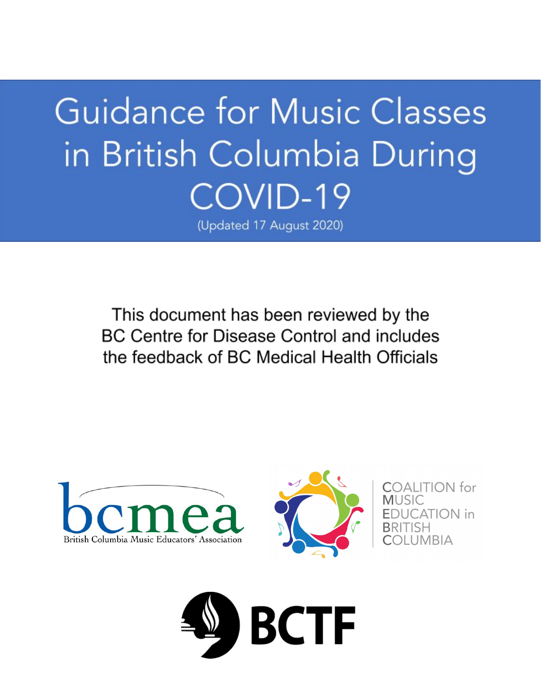# **Guidance for Music Classes** in British Columbia During COVID-19

(Updated 17 August 2020)

This document has been reviewed by the BC Centre for Disease Control and includes the feedback of BC Medical Health Officials



ALITION for ATION in UMBIA

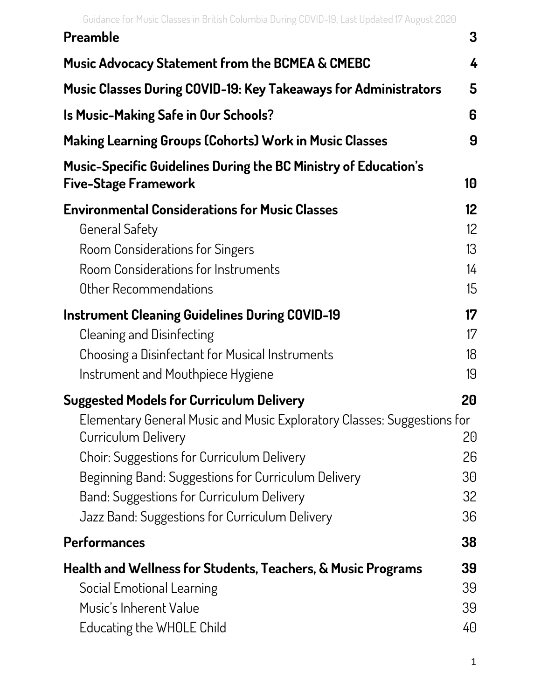|  | Guidance for Music Classes in British Columbia During COVID-19, Last Updated 17 August 2020 |  |  |
|--|---------------------------------------------------------------------------------------------|--|--|
|--|---------------------------------------------------------------------------------------------|--|--|

| UURANCETUI PIUSIC GIASSES IN DHUSH GOIUHIDIA DUHIIR GOVID-19, EASCOPRACER IZ AURUSCZUZU               |                 |
|-------------------------------------------------------------------------------------------------------|-----------------|
| Preamble                                                                                              | 3               |
| <b>Music Advocacy Statement from the BCMEA &amp; CMEBC</b>                                            | 4               |
| <b>Music Classes During COVID-19: Key Takeaways for Administrators</b>                                | 5               |
| <b>Is Music-Making Safe in Our Schools?</b>                                                           | 6               |
| <b>Making Learning Groups (Cohorts) Work in Music Classes</b>                                         | 9               |
| <b>Music-Specific Guidelines During the BC Ministry of Education's</b><br><b>Five-Stage Framework</b> | 10              |
| <b>Environmental Considerations for Music Classes</b>                                                 | 12 <sup>°</sup> |
| <b>General Safety</b>                                                                                 | 12 <sup>°</sup> |
| Room Considerations for Singers                                                                       | 13              |
| Room Considerations for Instruments                                                                   | $\frac{1}{4}$   |
| Other Recommendations                                                                                 | 15              |
| <b>Instrument Cleaning Guidelines During COVID-19</b>                                                 | 17              |
| Cleaning and Disinfecting                                                                             | 17              |
| Choosing a Disinfectant for Musical Instruments                                                       | 18              |
| Instrument and Mouthpiece Hygiene                                                                     | 19              |
| <b>Suggested Models for Curriculum Delivery</b>                                                       | 20              |
| Elementary General Music and Music Exploratory Classes: Suggestions for<br>Curriculum Delivery        | 20              |
| Choir: Suggestions for Curriculum Delivery                                                            | 26              |
| Beginning Band: Suggestions for Curriculum Delivery                                                   | 30              |
| Band: Suggestions for Curriculum Delivery                                                             | 32              |
| Jazz Band: Suggestions for Curriculum Delivery                                                        | 36              |
| <b>Performances</b>                                                                                   | 38              |
| Health and Wellness for Students, Teachers, & Music Programs                                          | 39              |
| Social Emotional Learning                                                                             | 39              |
| Music's Inherent Value                                                                                | 39              |
| Educating the WHOLE Child                                                                             | 40              |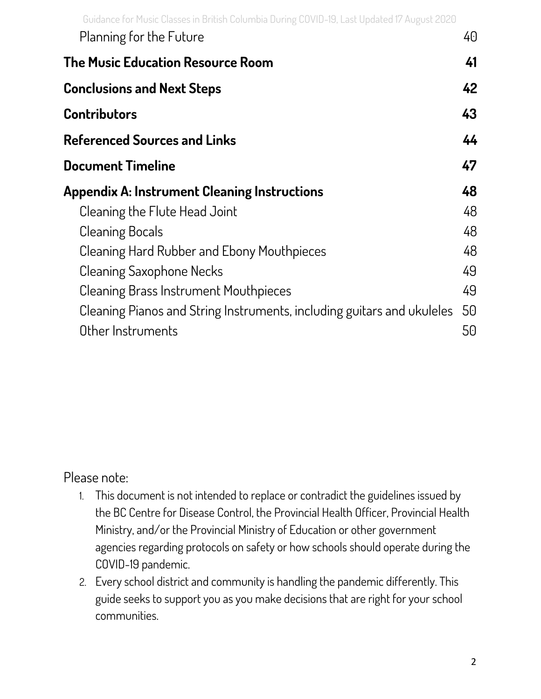| Planning for the Future                                                | 40 |
|------------------------------------------------------------------------|----|
| The Music Education Resource Room                                      | 41 |
| <b>Conclusions and Next Steps</b>                                      | 42 |
| Contributors                                                           | 43 |
| <b>Referenced Sources and Links</b>                                    | 44 |
| <b>Document Timeline</b>                                               | 47 |
| <b>Appendix A: Instrument Cleaning Instructions</b>                    | 48 |
| Cleaning the Flute Head Joint                                          | 48 |
| <b>Cleaning Bocals</b>                                                 | 48 |
| Cleaning Hard Rubber and Ebony Mouthpieces                             | 48 |
| Cleaning Saxophone Necks                                               | 49 |
| Cleaning Brass Instrument Mouthpieces                                  | 49 |
| Cleaning Pianos and String Instruments, including guitars and ukuleles | 50 |
| Other Instruments                                                      | 50 |

#### Please note:

- 1. This document is not intended to replace or contradict the guidelines issued by the BC Centre for Disease Control, the Provincial Health Officer, Provincial Health Ministry, and/or the Provincial Ministry of Education or other government agencies regarding protocols on safety or how schools should operate during the COVID-19 pandemic.
- 2. Every school district and community is handling the pandemic differently. This guide seeks to support you as you make decisions that are right for your school communities.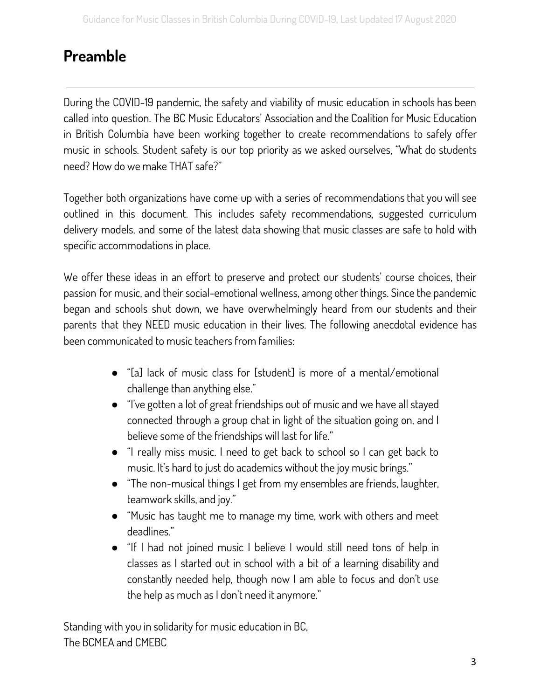## <span id="page-3-0"></span>**Preamble**

During the COVID-19 pandemic, the safety and viability of music education in schools has been called into question. The BC Music Educators' Association and the Coalition for Music Education in British Columbia have been working together to create recommendations to safely offer music in schools. Student safety is our top priority as we asked ourselves, "What do students need? How do we make THAT safe?"

Together both organizations have come up with a series of recommendations that you will see outlined in this document. This includes safety recommendations, suggested curriculum delivery models, and some of the latest data showing that music classes are safe to hold with specific accommodations in place.

We offer these ideas in an effort to preserve and protect our students' course choices, their passion for music, and their social-emotional wellness, among other things. Since the pandemic began and schools shut down, we have overwhelmingly heard from our students and their parents that they NEED music education in their lives. The following anecdotal evidence has been communicated to music teachers from families:

- "[a] lack of music class for [student] is more of a mental/emotional challenge than anything else."
- "I've gotten a lot of great friendships out of music and we have all stayed connected through a group chat in light of the situation going on, and I believe some of the friendships will last for life."
- "I really miss music. I need to get back to school so I can get back to music. It's hard to just do academics without the joy music brings."
- "The non-musical things I get from my ensembles are friends, laughter, teamwork skills, and joy."
- "Music has taught me to manage my time, work with others and meet deadlines."
- "If I had not joined music I believe I would still need tons of help in classes as I started out in school with a bit of a learning disability and constantly needed help, though now I am able to focus and don't use the help as much as I don't need it anymore."

Standing with you in solidarity for music education in BC, The BCMEA and CMEBC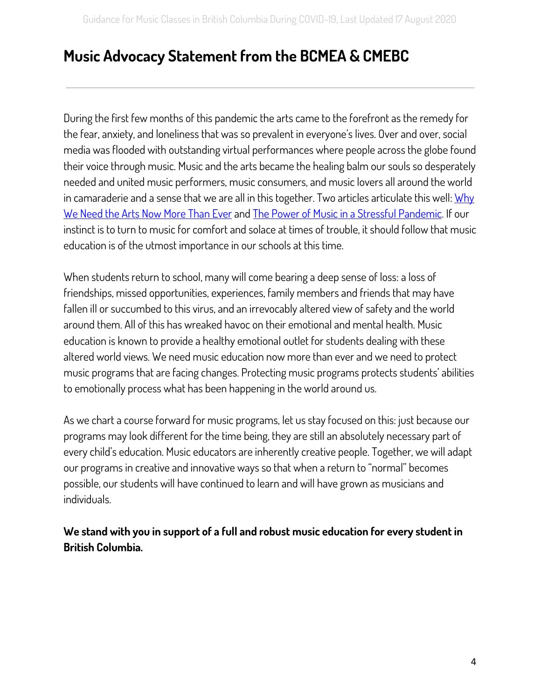## <span id="page-4-0"></span>**Music Advocacy Statement from the BCMEA & CMEBC**

During the first few months of this pandemic the arts came to the forefront as the remedy for the fear, anxiety, and loneliness that was so prevalent in everyone's lives. Over and over, social media was flooded with outstanding virtual performances where people across the globe found their voice through music. Music and the arts became the healing balm our souls so desperately needed and united music performers, music consumers, and music lovers all around the world in camaraderie and a sense that we are all in this together. Two articles articulate this well: [Why](https://www.theglobeandmail.com/arts/article-why-we-need-the-arts-now-more-than-ever/) We [Need](https://www.theglobeandmail.com/arts/article-why-we-need-the-arts-now-more-than-ever/) the Arts Now More Than Ever and The Power of Music in a Stressful [Pandemic](https://lancasteronline.com/opinion/columnists/the-power-of-music-in-a-stressful-pandemic-column/article_034cc37a-7aa7-11ea-af23-6b7600f1035d.html). If our instinct is to turn to music for comfort and solace at times of trouble, it should follow that music education is of the utmost importance in our schools at this time.

When students return to school, many will come bearing a deep sense of loss: a loss of friendships, missed opportunities, experiences, family members and friends that may have fallen ill or succumbed to this virus, and an irrevocably altered view of safety and the world around them. All of this has wreaked havoc on their emotional and mental health. Music education is known to provide a healthy emotional outlet for students dealing with these altered world views. We need music education now more than ever and we need to protect music programs that are facing changes. Protecting music programs protects students' abilities to emotionally process what has been happening in the world around us.

As we chart a course forward for music programs, let us stay focused on this: just because our programs may look different for the time being, they are still an absolutely necessary part of every child's education. Music educators are inherently creative people. Together, we will adapt our programs in creative and innovative ways so that when a return to "normal" becomes possible, our students will have continued to learn and will have grown as musicians and individuals.

**We stand with you in support of a full and robust music education for every student in British Columbia.**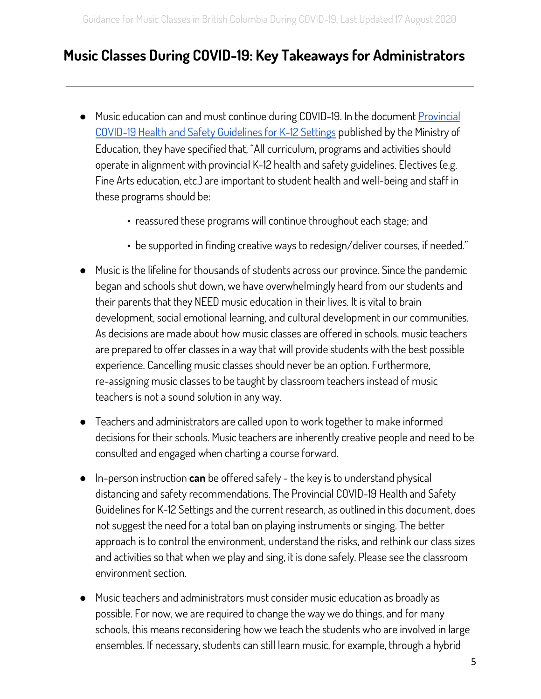## <span id="page-5-0"></span>**Music Classes During COVID-19: Key Takeaways for Administrators**

- Music education can and must continue during COVID-19. In the document [Provincial](https://www2.gov.bc.ca/assets/gov/education/administration/kindergarten-to-grade-12/safe-caring-orderly/k-12-covid-19-health-safety-guidlines.pdf) COVID-19 Health and Safety [Guidelines](https://www2.gov.bc.ca/assets/gov/education/administration/kindergarten-to-grade-12/safe-caring-orderly/k-12-covid-19-health-safety-guidlines.pdf) for K-12 Settings published by the Ministry of Education, they have specified that, "All curriculum, programs and activities should operate in alignment with provincial K-12 health and safety guidelines. Electives (e.g. Fine Arts education, etc.) are important to student health and well-being and staff in these programs should be:
	- reassured these programs will continue throughout each stage; and
	- be supported in finding creative ways to redesign/deliver courses, if needed."
- Music is the lifeline for thousands of students across our province. Since the pandemic began and schools shut down, we have overwhelmingly heard from our students and their parents that they NEED music education in their lives. It is vital to brain development, social emotional learning, and cultural development in our communities. As decisions are made about how music classes are offered in schools, music teachers are prepared to offer classes in a way that will provide students with the best possible experience. Cancelling music classes should never be an option. Furthermore, re-assigning music classes to be taught by classroom teachers instead of music teachers is not a sound solution in any way.
- Teachers and administrators are called upon to work together to make informed decisions for their schools. Music teachers are inherently creative people and need to be consulted and engaged when charting a course forward.
- In-person instruction **can** be offered safely the key is to understand physical distancing and safety recommendations. The Provincial COVID-19 Health and Safety Guidelines for K-12 Settings and the current research, as outlined in this document, does not suggest the need for a total ban on playing instruments or singing. The better approach is to control the environment, understand the risks, and rethink our class sizes and activities so that when we play and sing, it is done safely. Please see the classroom environment section.
- Music teachers and administrators must consider music education as broadly as possible. For now, we are required to change the way we do things, and for many schools, this means reconsidering how we teach the students who are involved in large ensembles. If necessary, students can still learn music, for example, through a hybrid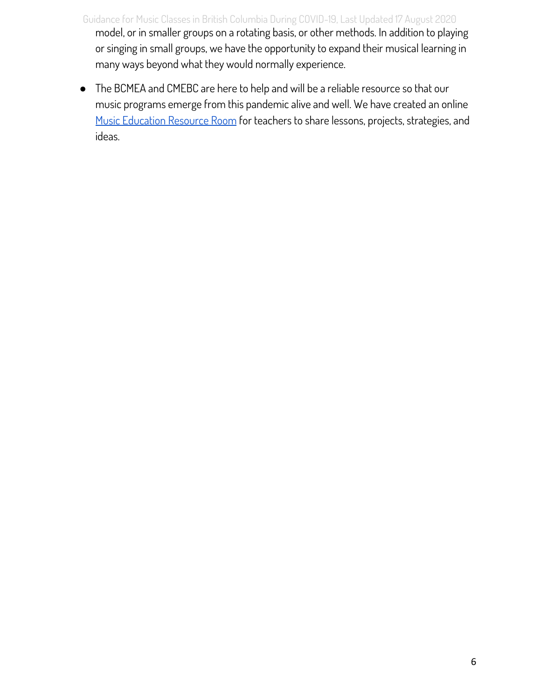- Guidance for Music Classes in British Columbia During COVID-19, Last Updated 17 August 2020 model, or in smaller groups on a rotating basis, or other methods. In addition to playing or singing in small groups, we have the opportunity to expand their musical learning in many ways beyond what they would normally experience.
- <span id="page-6-0"></span>● The BCMEA and CMEBC are here to help and will be a reliable resource so that our music programs emerge from this pandemic alive and well. We have created an online Music [Education](#page-42-0) Resource Room for teachers to share lessons, projects, strategies, and ideas.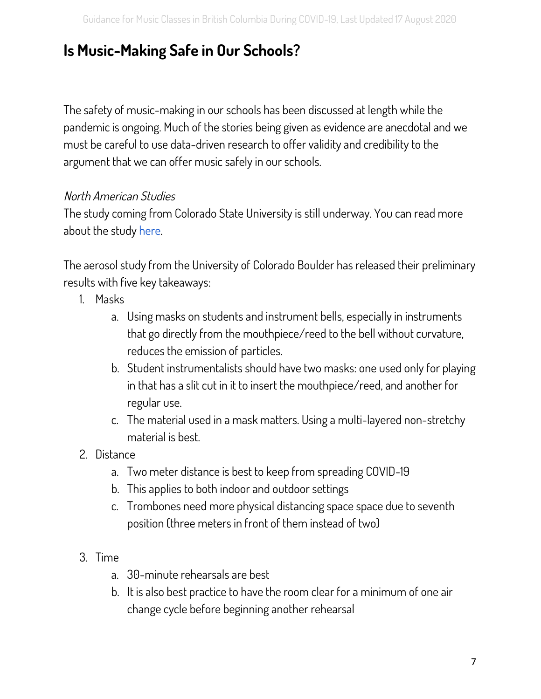## **Is Music-Making Safe in Our Schools?**

The safety of music-making in our schools has been discussed at length while the pandemic is ongoing. Much of the stories being given as evidence are anecdotal and we must be careful to use data-driven research to offer validity and credibility to the argument that we can offer music safely in our schools.

#### North American Studies

The study coming from Colorado State University is still underway. You can read more about the study [here.](https://smtd.colostate.edu/reducing-bioaerosol-emissions-and-exposures-in-the-performing-arts/)

The aerosol study from the University of Colorado Boulder has released their preliminary results with five key takeaways:

- 1. Masks
	- a. Using masks on students and instrument bells, especially in instruments that go directly from the mouthpiece/reed to the bell without curvature, reduces the emission of particles.
	- b. Student instrumentalists should have two masks: one used only for playing in that has a slit cut in it to insert the mouthpiece/reed, and another for regular use.
	- c. The material used in a mask matters. Using a multi-layered non-stretchy material is best.
- 2. Distance
	- a. Two meter distance is best to keep from spreading COVID-19
	- b. This applies to both indoor and outdoor settings
	- c. Trombones need more physical distancing space space due to seventh position (three meters in front of them instead of two)
- 3. Time
	- a. 30-minute rehearsals are best
	- b. It is also best practice to have the room clear for a minimum of one air change cycle before beginning another rehearsal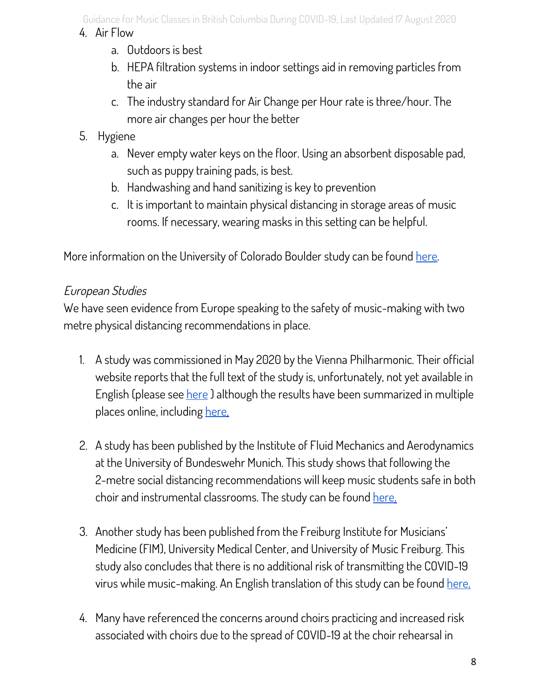Guidance for Music Classes in British Columbia During COVID-19, Last Updated 17 August 2020

#### 4. Air Flow

- a. Outdoors is best
- b. HEPA filtration systems in indoor settings aid in removing particles from the air
- c. The industry standard for Air Change per Hour rate is three/hour. The more air changes per hour the better
- 5. Hygiene
	- a. Never empty water keys on the floor. Using an absorbent disposable pad, such as puppy training pads, is best.
	- b. Handwashing and hand sanitizing is key to prevention
	- c. It is important to maintain physical distancing in storage areas of music rooms. If necessary, wearing masks in this setting can be helpful.

More information on the University of Colorado Boulder study can be found [here](https://www.nfhs.org/articles/unprecedented-international-coalition-led-by-performing-arts-organizations-to-commission-covid-19-study/).

## European Studies

We have seen evidence from Europe speaking to the safety of music-making with two metre physical distancing recommendations in place.

- 1. A study was commissioned in May 2020 by the Vienna Philharmonic. Their official website reports that the full text of the study is, unfortunately, not yet available in English (please see [here](https://www.wienerphilharmoniker.at/orchestra/philharmonic-journal/year/2020/month/4/blogitemid/1423/page/1/pagesize/20) ) although the results have been summarized in multiple places online, including [here](https://medicalxpress.com/news/2020-05-vienna-philharmonic-virus-orchestras.html).
- 2. A study has been published by the Institute of Fluid Mechanics and Aerodynamics at the University of Bundeswehr Munich. This study shows that following the 2-metre social distancing recommendations will keep music students safe in both choir and instrumental classrooms. The study can be found [here](https://www.unibw.de/lrt7-en/making_music_during_the_sars-cov-2_pandemic.pdf).
- 3. Another study has been published from the Freiburg Institute for Musicians' Medicine (FIM), University Medical Center, and University of Music Freiburg. This study also concludes that there is no additional risk of transmitting the COVID-19 virus while music-making. An English translation of this study can be found [here](https://www.mh-freiburg.de/fileadmin/Downloads/Allgemeines/RisikoabschaetzungCoronaMusikSpahnRichter19.5.2020Englisch.pdf).
- 4. Many have referenced the concerns around choirs practicing and increased risk associated with choirs due to the spread of COVID-19 at the choir rehearsal in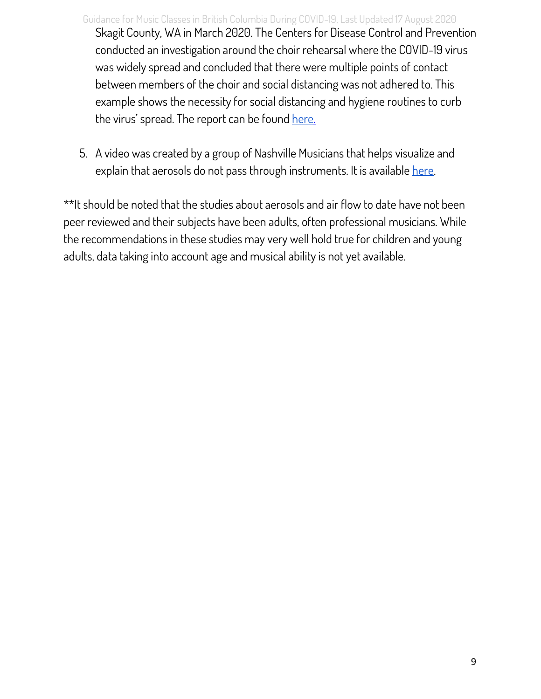- Guidance for Music Classes in British Columbia During COVID-19, Last Updated 17 August 2020 Skagit County, WA in March 2020. The Centers for Disease Control and Prevention conducted an investigation around the choir rehearsal where the COVID-19 virus was widely spread and concluded that there were multiple points of contact between members of the choir and social distancing was not adhered to. This example shows the necessity for social distancing and hygiene routines to curb the virus' spread. The report can be found [here.](https://www.cdc.gov/mmwr/volumes/69/wr/mm6919e6.htm?fbclid=IwAR3oEF1jCsxgVuWYTbhxK0rz-ItOVxhlzsjzYCoRfx8wrADTYWV-lGAdHz8)
- 5. A video was created by a group of Nashville Musicians that helps visualize and explain that aerosols do not pass through instruments. It is available [here](https://www.youtube.com/watch?v=AsLHFwtpABU).

\*\*It should be noted that the studies about aerosols and air flow to date have not been peer reviewed and their subjects have been adults, often professional musicians. While the recommendations in these studies may very well hold true for children and young adults, data taking into account age and musical ability is not yet available.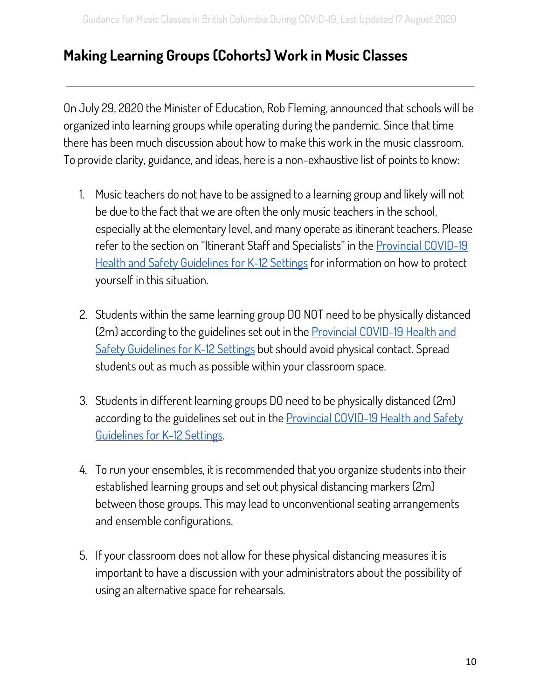## <span id="page-10-0"></span>**Making Learning Groups (Cohorts) Work in Music Classes**

On July 29, 2020 the Minister of Education, Rob Fleming, announced that schools will be organized into learning groups while operating during the pandemic. Since that time there has been much discussion about how to make this work in the music classroom. To provide clarity, guidance, and ideas, here is a non-exhaustive list of points to know:

- 1. Music teachers do not have to be assigned to a learning group and likely will not be due to the fact that we are often the only music teachers in the school, especially at the elementary level, and many operate as itinerant teachers. Please refer to the section on "Itinerant Staff and Specialists" in the [Provincial](https://www2.gov.bc.ca/assets/gov/education/administration/kindergarten-to-grade-12/safe-caring-orderly/k-12-covid-19-health-safety-guidlines.pdf) COVID-19 Health and Safety [Guidelines](https://www2.gov.bc.ca/assets/gov/education/administration/kindergarten-to-grade-12/safe-caring-orderly/k-12-covid-19-health-safety-guidlines.pdf) for K-12 Settings for information on how to protect yourself in this situation.
- 2. Students within the same learning group DO NOT need to be physically distanced (2m) according to the guidelines set out in the [Provincial](https://www2.gov.bc.ca/assets/gov/education/administration/kindergarten-to-grade-12/safe-caring-orderly/k-12-covid-19-health-safety-guidlines.pdf) COVID-19 Health and Safety [Guidelines](https://www2.gov.bc.ca/assets/gov/education/administration/kindergarten-to-grade-12/safe-caring-orderly/k-12-covid-19-health-safety-guidlines.pdf) for K-12 Settings but should avoid physical contact. Spread students out as much as possible within your classroom space.
- 3. Students in different learning groups DO need to be physically distanced (2m) according to the guidelines set out in the [Provincial](https://www2.gov.bc.ca/assets/gov/education/administration/kindergarten-to-grade-12/safe-caring-orderly/k-12-covid-19-health-safety-guidlines.pdf) COVID-19 Health and Safety [Guidelines](https://www2.gov.bc.ca/assets/gov/education/administration/kindergarten-to-grade-12/safe-caring-orderly/k-12-covid-19-health-safety-guidlines.pdf) for K-12 Settings.
- 4. To run your ensembles, it is recommended that you organize students into their established learning groups and set out physical distancing markers (2m) between those groups. This may lead to unconventional seating arrangements and ensemble configurations.
- 5. If your classroom does not allow for these physical distancing measures it is important to have a discussion with your administrators about the possibility of using an alternative space for rehearsals.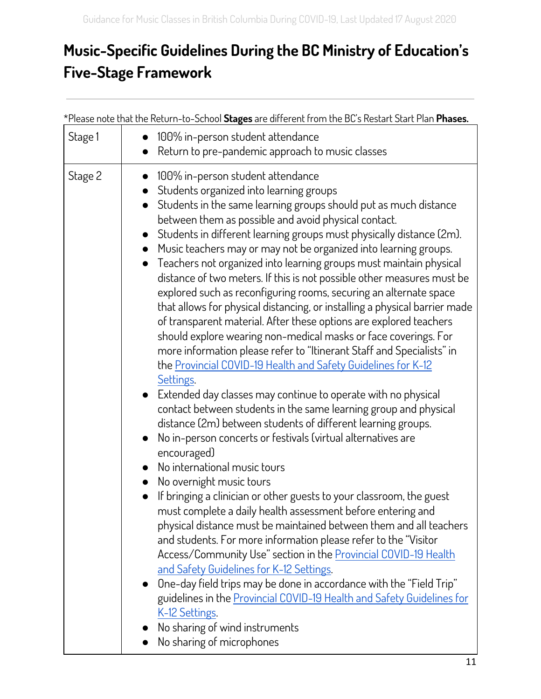# <span id="page-11-0"></span>**Music-Specific Guidelines During the BC Ministry of Education's Five-Stage Framework**

| Stage 1 | *Please note that the Return-to-School <b>Stages</b> are different from the BC's Restart Start Plan <b>Phases.</b><br>100% in-person student attendance                                                                                                                                                                                                                                                                                                                                                                                                                                                                                                                                                                                                                                                                                                                                                                                                                                                                                                                                                                                                                                                                                                               |
|---------|-----------------------------------------------------------------------------------------------------------------------------------------------------------------------------------------------------------------------------------------------------------------------------------------------------------------------------------------------------------------------------------------------------------------------------------------------------------------------------------------------------------------------------------------------------------------------------------------------------------------------------------------------------------------------------------------------------------------------------------------------------------------------------------------------------------------------------------------------------------------------------------------------------------------------------------------------------------------------------------------------------------------------------------------------------------------------------------------------------------------------------------------------------------------------------------------------------------------------------------------------------------------------|
|         | Return to pre-pandemic approach to music classes                                                                                                                                                                                                                                                                                                                                                                                                                                                                                                                                                                                                                                                                                                                                                                                                                                                                                                                                                                                                                                                                                                                                                                                                                      |
| Stage 2 | 100% in-person student attendance<br>Students organized into learning groups<br>Students in the same learning groups should put as much distance<br>$\bullet$<br>between them as possible and avoid physical contact.<br>Students in different learning groups must physically distance (2m).<br>Music teachers may or may not be organized into learning groups.<br>Teachers not organized into learning groups must maintain physical<br>distance of two meters. If this is not possible other measures must be<br>explored such as reconfiguring rooms, securing an alternate space<br>that allows for physical distancing, or installing a physical barrier made<br>of transparent material. After these options are explored teachers<br>should explore wearing non-medical masks or face coverings. For<br>more information please refer to "Itinerant Staff and Specialists" in<br>the Provincial COVID-19 Health and Safety Guidelines for K-12<br>Settings.<br>Extended day classes may continue to operate with no physical<br>contact between students in the same learning group and physical<br>distance (2m) between students of different learning groups.<br>No in-person concerts or festivals (virtual alternatives are<br>$\bullet$<br>encouraged) |
|         | No international music tours<br>No overnight music tours<br>If bringing a clinician or other guests to your classroom, the guest<br>must complete a daily health assessment before entering and<br>physical distance must be maintained between them and all teachers<br>and students. For more information please refer to the "Visitor<br>Access/Community Use" section in the Provincial COVID-19 Health<br>and Safety Guidelines for K-12 Settings.<br>One-day field trips may be done in accordance with the "Field Trip"<br>guidelines in the Provincial COVID-19 Health and Safety Guidelines for<br>K-12 Settings.<br>No sharing of wind instruments<br>No sharing of microphones                                                                                                                                                                                                                                                                                                                                                                                                                                                                                                                                                                             |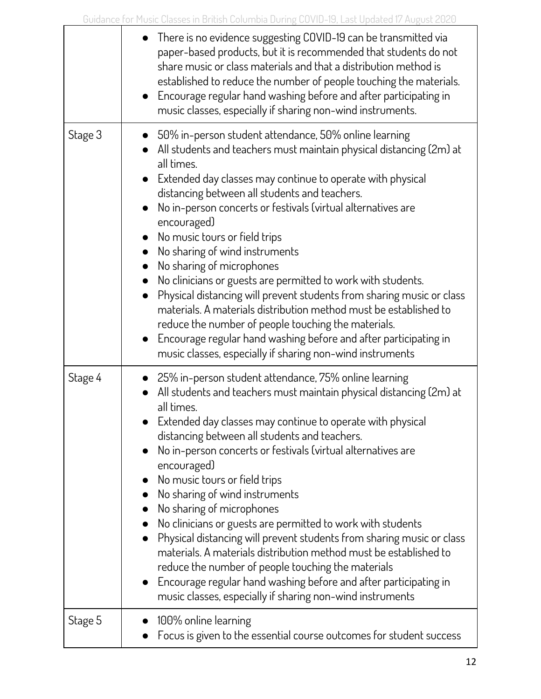|         | $\bullet$ There is no evidence suggesting COVID-19 can be transmitted via<br>paper-based products, but it is recommended that students do not<br>share music or class materials and that a distribution method is<br>established to reduce the number of people touching the materials.<br>• Encourage regular hand washing before and after participating in<br>music classes, especially if sharing non-wind instruments.                                                                                                                                                                                                                                                                                                                                                                                                                                  |
|---------|--------------------------------------------------------------------------------------------------------------------------------------------------------------------------------------------------------------------------------------------------------------------------------------------------------------------------------------------------------------------------------------------------------------------------------------------------------------------------------------------------------------------------------------------------------------------------------------------------------------------------------------------------------------------------------------------------------------------------------------------------------------------------------------------------------------------------------------------------------------|
| Stage 3 | $\bullet$ 50% in-person student attendance, 50% online learning<br>• All students and teachers must maintain physical distancing (2m) at<br>all times.<br>Extended day classes may continue to operate with physical<br>distancing between all students and teachers.<br>No in-person concerts or festivals (virtual alternatives are<br>encouraged)<br>• No music tours or field trips<br>No sharing of wind instruments<br>No sharing of microphones<br>No clinicians or guests are permitted to work with students.<br>Physical distancing will prevent students from sharing music or class<br>materials. A materials distribution method must be established to<br>reduce the number of people touching the materials.<br>Encourage regular hand washing before and after participating in<br>music classes, especially if sharing non-wind instruments |
| Stage 4 | • 25% in-person student attendance, 75% online learning<br>$\bullet$ All students and teachers must maintain physical distancing (2m) at<br>all times.<br>Extended day classes may continue to operate with physical<br>distancing between all students and teachers.<br>No in-person concerts or festivals (virtual alternatives are<br>encouraged)<br>No music tours or field trips<br>No sharing of wind instruments<br>No sharing of microphones<br>No clinicians or guests are permitted to work with students<br>Physical distancing will prevent students from sharing music or class<br>materials. A materials distribution method must be established to<br>reduce the number of people touching the materials<br>Encourage regular hand washing before and after participating in<br>music classes, especially if sharing non-wind instruments     |
| Stage 5 | 100% online learning<br>Focus is given to the essential course outcomes for student success                                                                                                                                                                                                                                                                                                                                                                                                                                                                                                                                                                                                                                                                                                                                                                  |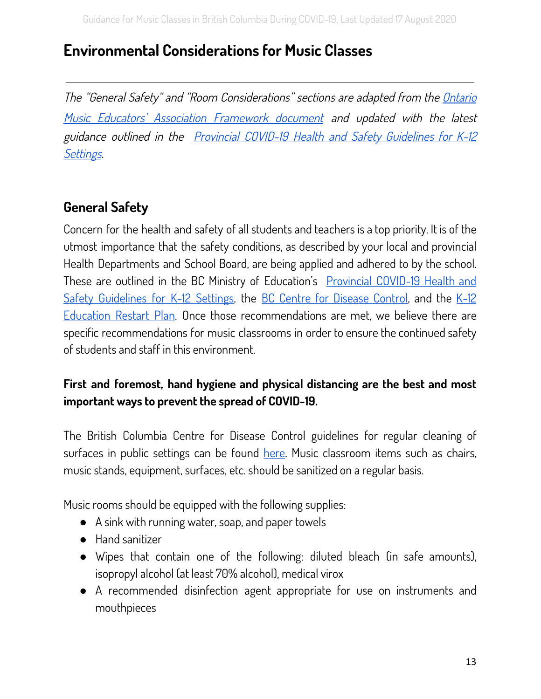## <span id="page-13-0"></span>**Environmental Considerations for Music Classes**

The "General Safety" and "Room Considerations" sections are adapted from the [Ontario](https://www.omea.on.ca/wp-content/uploads/2020/06/Framework-for-Music-Classes-During-Covid-19_v2-1.pdf) Music Educators' Association [Framework](https://www.omea.on.ca/wp-content/uploads/2020/06/Framework-for-Music-Classes-During-Covid-19_v2-1.pdf) document and updated with the latest guidance outlined in the Provincial COVID-19 Health and Safety [Guidelines](https://www2.gov.bc.ca/assets/gov/education/administration/kindergarten-to-grade-12/safe-caring-orderly/k-12-covid-19-health-safety-guidlines.pdf) for K-12 [Settings](https://www2.gov.bc.ca/assets/gov/education/administration/kindergarten-to-grade-12/safe-caring-orderly/k-12-covid-19-health-safety-guidlines.pdf).

## <span id="page-13-1"></span>**General Safety**

Concern for the health and safety of all students and teachers is a top priority. It is of the utmost importance that the safety conditions, as described by your local and provincial Health Departments and School Board, are being applied and adhered to by the school. These are outlined in the BC Ministry of Education's [Provincial](https://www2.gov.bc.ca/assets/gov/education/administration/kindergarten-to-grade-12/safe-caring-orderly/k-12-covid-19-health-safety-guidlines.pdf) COVID-19 Health and Safety [Guidelines](https://www2.gov.bc.ca/assets/gov/education/administration/kindergarten-to-grade-12/safe-caring-orderly/k-12-covid-19-health-safety-guidlines.pdf) for K-12 Settings, the BC Centre for [Disease](http://www.bccdc.ca/health-info/diseases-conditions/covid-19/childcare-schools#Schools) Control, and the [K-12](https://www2.gov.bc.ca/assets/gov/education/administration/kindergarten-to-grade-12/safe-caring-orderly/k-12-education-restart-plan.pdf?bcgovtm=20200506_GCPE_AM_COVID_9_NOTIFICATION_BCGOV_BCGOV_EN_BC__NOTIFICATION) [Education](https://www2.gov.bc.ca/assets/gov/education/administration/kindergarten-to-grade-12/safe-caring-orderly/k-12-education-restart-plan.pdf?bcgovtm=20200506_GCPE_AM_COVID_9_NOTIFICATION_BCGOV_BCGOV_EN_BC__NOTIFICATION) Restart Plan. Once those recommendations are met, we believe there are specific recommendations for music classrooms in order to ensure the continued safety of students and staff in this environment.

#### **First and foremost, hand hygiene and physical distancing are the best and most important ways to prevent the spread of COVID-19.**

The British Columbia Centre for Disease Control guidelines for regular cleaning of surfaces in public settings can be found [here](http://www.bccdc.ca/Health-Info-Site/Documents/CleaningDisinfecting_PublicSettings.pdf). Music classroom items such as chairs, music stands, equipment, surfaces, etc. should be sanitized on a regular basis.

Music rooms should be equipped with the following supplies:

- A sink with running water, soap, and paper towels
- Hand sanitizer
- Wipes that contain one of the following: diluted bleach (in safe amounts), isopropyl alcohol (at least 70% alcohol), medical virox
- A recommended disinfection agent appropriate for use on instruments and mouthpieces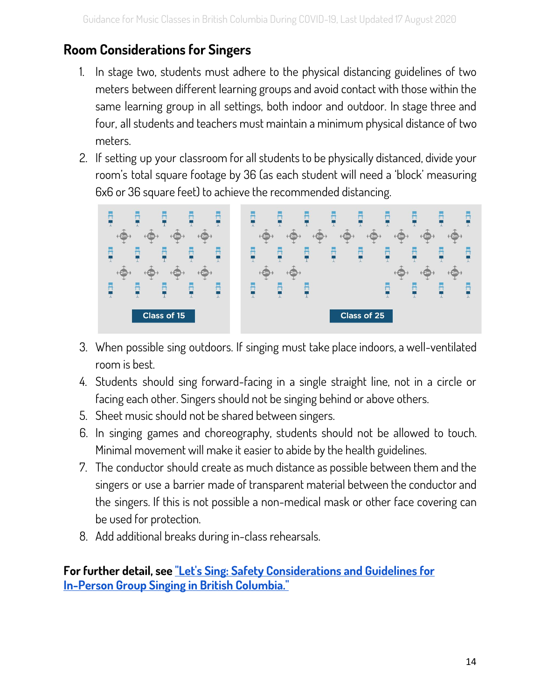## **Room Considerations for Singers**

- 1. In stage two, students must adhere to the physical distancing guidelines of two meters between different learning groups and avoid contact with those within the same learning group in all settings, both indoor and outdoor. In stage three and four, all students and teachers must maintain a minimum physical distance of two meters.
- 2. If setting up your classroom for all students to be physically distanced, divide your room's total square footage by 36 (as each student will need a 'block' measuring 6x6 or 36 square feet) to achieve the recommended distancing.



- 3. When possible sing outdoors. If singing must take place indoors, a well-ventilated room is best.
- 4. Students should sing forward-facing in a single straight line, not in a circle or facing each other. Singers should not be singing behind or above others.
- 5. Sheet music should not be shared between singers.
- 6. In singing games and choreography, students should not be allowed to touch. Minimal movement will make it easier to abide by the health guidelines.
- 7. The conductor should create as much distance as possible between them and the singers or use a barrier made of transparent material between the conductor and the singers. If this is not possible a non-medical mask or other face covering can be used for protection.
- 8. Add additional breaks during in-class rehearsals.

**For further detail, see "Let's Sing: Safety [Considerations](https://docs.google.com/document/d/1HFDaPy4GfN38n8-YIaq8DA3GNk0FBG7zR2sD0dFH7Sc/edit?usp=sharing) and Guidelines for In-Person Group Singing in British [Columbia."](https://docs.google.com/document/d/1HFDaPy4GfN38n8-YIaq8DA3GNk0FBG7zR2sD0dFH7Sc/edit?usp=sharing)**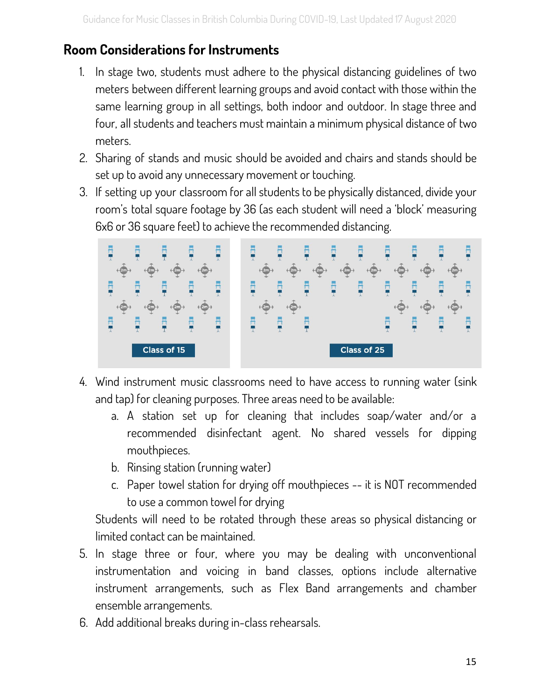## <span id="page-15-0"></span>**Room Considerations for Instruments**

- 1. In stage two, students must adhere to the physical distancing guidelines of two meters between different learning groups and avoid contact with those within the same learning group in all settings, both indoor and outdoor. In stage three and four, all students and teachers must maintain a minimum physical distance of two meters.
- 2. Sharing of stands and music should be avoided and chairs and stands should be set up to avoid any unnecessary movement or touching.
- 3. If setting up your classroom for all students to be physically distanced, divide your room's total square footage by 36 (as each student will need a 'block' measuring 6x6 or 36 square feet) to achieve the recommended distancing.



- 4. Wind instrument music classrooms need to have access to running water (sink and tap) for cleaning purposes. Three areas need to be available:
	- a. A station set up for cleaning that includes soap/water and/or a recommended disinfectant agent. No shared vessels for dipping mouthpieces.
	- b. Rinsing station (running water)
	- c. Paper towel station for drying off mouthpieces -- it is NOT recommended to use a common towel for drying

Students will need to be rotated through these areas so physical distancing or limited contact can be maintained.

- 5. In stage three or four, where you may be dealing with unconventional instrumentation and voicing in band classes, options include alternative instrument arrangements, such as Flex Band arrangements and chamber ensemble arrangements.
- 6. Add additional breaks during in-class rehearsals.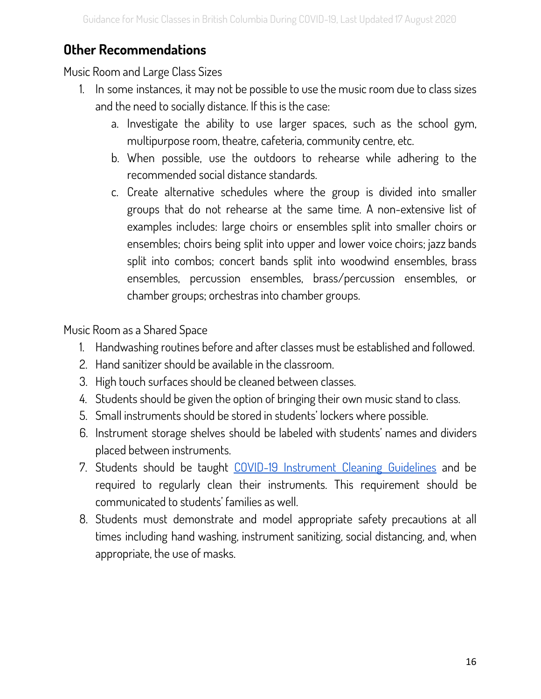## <span id="page-16-0"></span>**Other Recommendations**

Music Room and Large Class Sizes

- 1. In some instances, it may not be possible to use the music room due to class sizes and the need to socially distance. If this is the case:
	- a. Investigate the ability to use larger spaces, such as the school gym, multipurpose room, theatre, cafeteria, community centre, etc.
	- b. When possible, use the outdoors to rehearse while adhering to the recommended social distance standards.
	- c. Create alternative schedules where the group is divided into smaller groups that do not rehearse at the same time. A non-extensive list of examples includes: large choirs or ensembles split into smaller choirs or ensembles; choirs being split into upper and lower voice choirs; jazz bands split into combos; concert bands split into woodwind ensembles, brass ensembles, percussion ensembles, brass/percussion ensembles, or chamber groups; orchestras into chamber groups.

Music Room as a Shared Space

- 1. Handwashing routines before and after classes must be established and followed.
- 2. Hand sanitizer should be available in the classroom.
- 3. High touch surfaces should be cleaned between classes.
- 4. Students should be given the option of bringing their own music stand to class.
- 5. Small instruments should be stored in students' lockers where possible.
- 6. Instrument storage shelves should be labeled with students' names and dividers placed between instruments.
- 7. Students should be taught COVID-19 Instrument Cleaning Guidelines and be required to regularly clean their instruments. This requirement should be communicated to students' families as well.
- 8. Students must demonstrate and model appropriate safety precautions at all times including hand washing, instrument sanitizing, social distancing, and, when appropriate, the use of masks.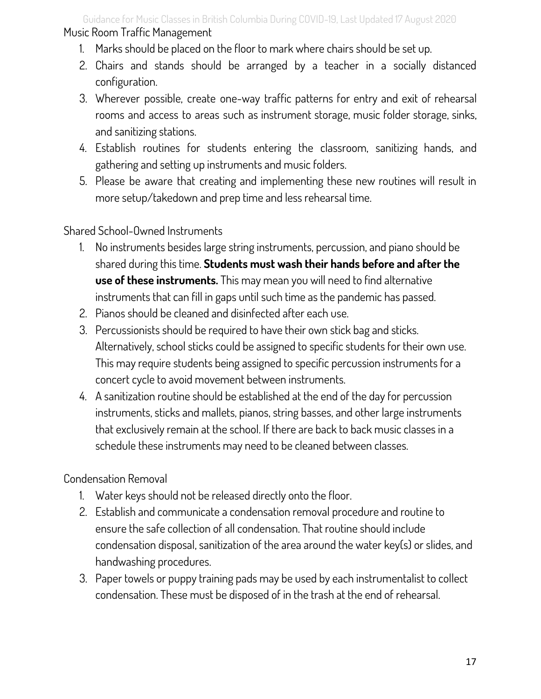Guidance for Music Classes in British Columbia During COVID-19, Last Updated 17 August 2020 Music Room Traffic Management

- 1. Marks should be placed on the floor to mark where chairs should be set up.
- 2. Chairs and stands should be arranged by a teacher in a socially distanced configuration.
- 3. Wherever possible, create one-way traffic patterns for entry and exit of rehearsal rooms and access to areas such as instrument storage, music folder storage, sinks, and sanitizing stations.
- 4. Establish routines for students entering the classroom, sanitizing hands, and gathering and setting up instruments and music folders.
- 5. Please be aware that creating and implementing these new routines will result in more setup/takedown and prep time and less rehearsal time.

Shared School-Owned Instruments

- 1. No instruments besides large string instruments, percussion, and piano should be shared during this time. **Students must wash their hands before and after the use of these instruments.** This may mean you will need to find alternative instruments that can fill in gaps until such time as the pandemic has passed.
- 2. Pianos should be cleaned and disinfected after each use.
- 3. Percussionists should be required to have their own stick bag and sticks. Alternatively, school sticks could be assigned to specific students for their own use. This may require students being assigned to specific percussion instruments for a concert cycle to avoid movement between instruments.
- 4. A sanitization routine should be established at the end of the day for percussion instruments, sticks and mallets, pianos, string basses, and other large instruments that exclusively remain at the school. If there are back to back music classes in a schedule these instruments may need to be cleaned between classes.

Condensation Removal

- 1. Water keys should not be released directly onto the floor.
- 2. Establish and communicate a condensation removal procedure and routine to ensure the safe collection of all condensation. That routine should include condensation disposal, sanitization of the area around the water key(s) or slides, and handwashing procedures.
- 3. Paper towels or puppy training pads may be used by each instrumentalist to collect condensation. These must be disposed of in the trash at the end of rehearsal.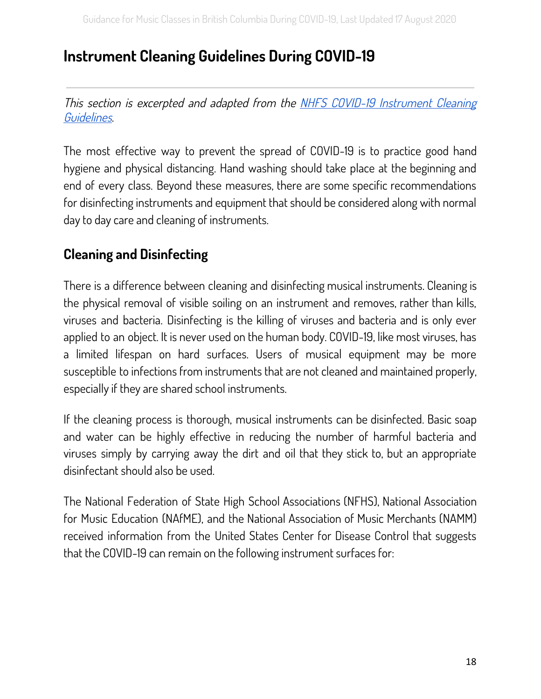## <span id="page-18-0"></span>**Instrument Cleaning Guidelines During COVID-19**

This section is excerpted and adapted from the NHFS COVID-19 Instrument [Cleaning](https://nfhs.org/articles/covid-19-instrument-cleaning-guidelines) [Guidelines](https://nfhs.org/articles/covid-19-instrument-cleaning-guidelines).

The most effective way to prevent the spread of COVID-19 is to practice good hand hygiene and physical distancing. Hand washing should take place at the beginning and end of every class. Beyond these measures, there are some specific recommendations for disinfecting instruments and equipment that should be considered along with normal day to day care and cleaning of instruments.

## <span id="page-18-1"></span>**Cleaning and Disinfecting**

There is a difference between cleaning and disinfecting musical instruments. Cleaning is the physical removal of visible soiling on an instrument and removes, rather than kills, viruses and bacteria. Disinfecting is the killing of viruses and bacteria and is only ever applied to an object. It is never used on the human body. COVID-19, like most viruses, has a limited lifespan on hard surfaces. Users of musical equipment may be more susceptible to infections from instruments that are not cleaned and maintained properly, especially if they are shared school instruments.

If the cleaning process is thorough, musical instruments can be disinfected. Basic soap and water can be highly effective in reducing the number of harmful bacteria and viruses simply by carrying away the dirt and oil that they stick to, but an appropriate disinfectant should also be used.

The National Federation of State High School Associations (NFHS), National Association for Music Education (NAfME), and the National Association of Music Merchants (NAMM) received information from the United States Center for Disease Control that suggests that the COVID-19 can remain on the following instrument surfaces for: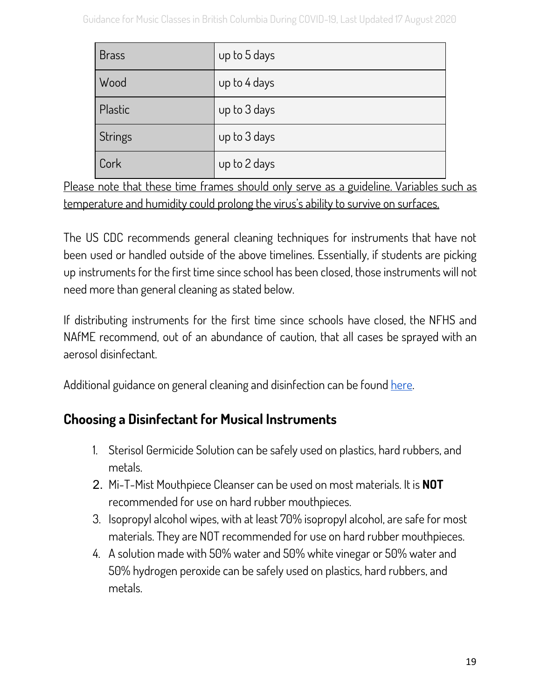| <b>Brass</b>   | up to 5 days |
|----------------|--------------|
| Wood           | up to 4 days |
| Plastic        | up to 3 days |
| <b>Strings</b> | up to 3 days |
| Cork           | up to 2 days |

Please note that these time frames should only serve as a guideline. Variables such as temperature and humidity could prolong the virus's ability to survive on surfaces.

The US CDC recommends general cleaning techniques for instruments that have not been used or handled outside of the above timelines. Essentially, if students are picking up instruments for the first time since school has been closed, those instruments will not need more than general cleaning as stated below.

If distributing instruments for the first time since schools have closed, the NFHS and NAfME recommend, out of an abundance of caution, that all cases be sprayed with an aerosol disinfectant.

Additional guidance on general cleaning and disinfection can be found [here](http://www.bccdc.ca/health-info/diseases-conditions/covid-19/prevention-risks/cleaning-and-disinfecting).

## <span id="page-19-0"></span>**Choosing a Disinfectant for Musical Instruments**

- 1. Sterisol Germicide Solution can be safely used on plastics, hard rubbers, and metals.
- 2. Mi-T-Mist Mouthpiece Cleanser can be used on most materials. It is **NOT** recommended for use on hard rubber mouthpieces.
- 3. Isopropyl alcohol wipes, with at least 70% isopropyl alcohol, are safe for most materials. They are NOT recommended for use on hard rubber mouthpieces.
- 4. A solution made with 50% water and 50% white vinegar or 50% water and 50% hydrogen peroxide can be safely used on plastics, hard rubbers, and metals.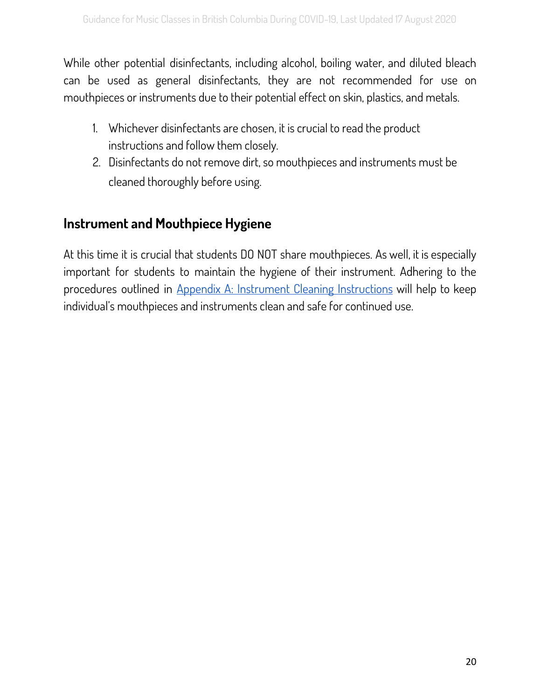While other potential disinfectants, including alcohol, boiling water, and diluted bleach can be used as general disinfectants, they are not recommended for use on mouthpieces or instruments due to their potential effect on skin, plastics, and metals.

- 1. Whichever disinfectants are chosen, it is crucial to read the product instructions and follow them closely.
- 2. Disinfectants do not remove dirt, so mouthpieces and instruments must be cleaned thoroughly before using.

## <span id="page-20-0"></span>**Instrument and Mouthpiece Hygiene**

At this time it is crucial that students DO NOT share mouthpieces. As well, it is especially important for students to maintain the hygiene of their instrument. Adhering to the procedures outlined in Appendix A: Instrument Cleaning [Instructions](#page-49-0) will help to keep individual's mouthpieces and instruments clean and safe for continued use.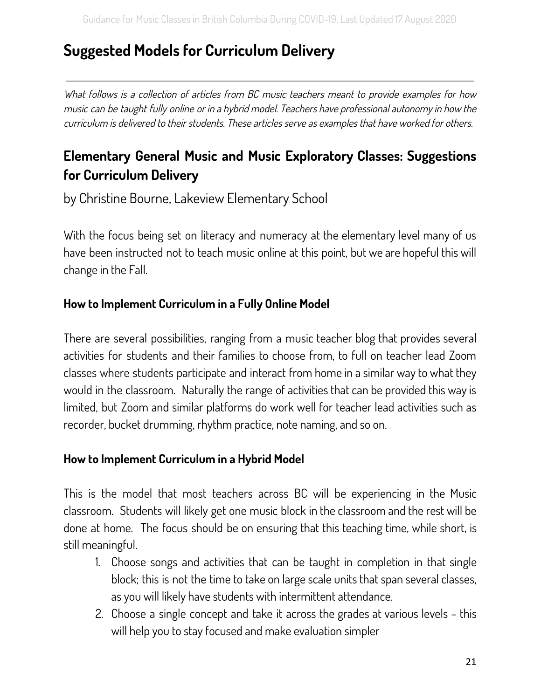## <span id="page-21-0"></span>**Suggested Models for Curriculum Delivery**

What follows is a collection of articles from BC music teachers meant to provide examples for how music can be taught fully online or in <sup>a</sup> hybrid model. Teachers have professional autonomy in how the curriculum is delivered to their students. These articles serve as examples that have worked for others.

## <span id="page-21-1"></span>**Elementary General Music and Music Exploratory Classes: Suggestions for Curriculum Delivery**

by Christine Bourne, Lakeview Elementary School

With the focus being set on literacy and numeracy at the elementary level many of us have been instructed not to teach music online at this point, but we are hopeful this will change in the Fall.

#### **How to Implement Curriculum in a Fully Online Model**

There are several possibilities, ranging from a music teacher blog that provides several activities for students and their families to choose from, to full on teacher lead Zoom classes where students participate and interact from home in a similar way to what they would in the classroom. Naturally the range of activities that can be provided this way is limited, but Zoom and similar platforms do work well for teacher lead activities such as recorder, bucket drumming, rhythm practice, note naming, and so on.

#### **How to Implement Curriculum in a Hybrid Model**

This is the model that most teachers across BC will be experiencing in the Music classroom. Students will likely get one music block in the classroom and the rest will be done at home. The focus should be on ensuring that this teaching time, while short, is still meaningful.

- 1. Choose songs and activities that can be taught in completion in that single block; this is not the time to take on large scale units that span several classes, as you will likely have students with intermittent attendance.
- 2. Choose a single concept and take it across the grades at various levels this will help you to stay focused and make evaluation simpler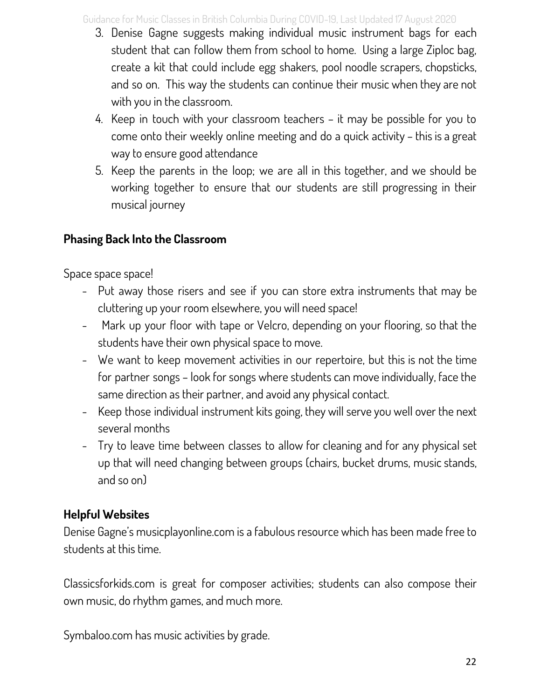Guidance for Music Classes in British Columbia During COVID-19, Last Updated 17 August 2020

- 3. Denise Gagne suggests making individual music instrument bags for each student that can follow them from school to home. Using a large Ziploc bag, create a kit that could include egg shakers, pool noodle scrapers, chopsticks, and so on. This way the students can continue their music when they are not with you in the classroom.
- 4. Keep in touch with your classroom teachers it may be possible for you to come onto their weekly online meeting and do a quick activity – this is a great way to ensure good attendance
- 5. Keep the parents in the loop; we are all in this together, and we should be working together to ensure that our students are still progressing in their musical journey

#### **Phasing Back Into the Classroom**

Space space space!

- Put away those risers and see if you can store extra instruments that may be cluttering up your room elsewhere, you will need space!
- Mark up your floor with tape or Velcro, depending on your flooring, so that the students have their own physical space to move.
- We want to keep movement activities in our repertoire, but this is not the time for partner songs – look for songs where students can move individually, face the same direction as their partner, and avoid any physical contact.
- Keep those individual instrument kits going, they will serve you well over the next several months
- Try to leave time between classes to allow for cleaning and for any physical set up that will need changing between groups (chairs, bucket drums, music stands, and so on)

## **Helpful Websites**

Denise Gagne's musicplayonline.com is a fabulous resource which has been made free to students at this time.

Classicsforkids.com is great for composer activities; students can also compose their own music, do rhythm games, and much more.

Symbaloo.com has music activities by grade.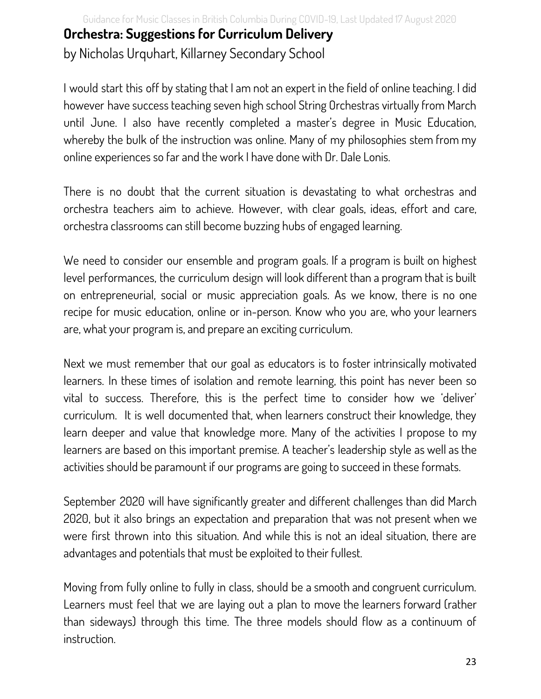Guidance for Music Classes in British Columbia During COVID-19, Last Updated 17 August 2020 **Orchestra: Suggestions for Curriculum Delivery** by Nicholas Urquhart, Killarney Secondary School

I would start this off by stating that I am not an expert in the field of online teaching. I did however have success teaching seven high school String Orchestras virtually from March until June. I also have recently completed a master's degree in Music Education, whereby the bulk of the instruction was online. Many of my philosophies stem from my online experiences so far and the work I have done with Dr. Dale Lonis.

There is no doubt that the current situation is devastating to what orchestras and orchestra teachers aim to achieve. However, with clear goals, ideas, effort and care, orchestra classrooms can still become buzzing hubs of engaged learning.

We need to consider our ensemble and program goals. If a program is built on highest level performances, the curriculum design will look different than a program that is built on entrepreneurial, social or music appreciation goals. As we know, there is no one recipe for music education, online or in-person. Know who you are, who your learners are, what your program is, and prepare an exciting curriculum.

Next we must remember that our goal as educators is to foster intrinsically motivated learners. In these times of isolation and remote learning, this point has never been so vital to success. Therefore, this is the perfect time to consider how we 'deliver' curriculum. It is well documented that, when learners construct their knowledge, they learn deeper and value that knowledge more. Many of the activities I propose to my learners are based on this important premise. A teacher's leadership style as well as the activities should be paramount if our programs are going to succeed in these formats.

September 2020 will have significantly greater and different challenges than did March 2020, but it also brings an expectation and preparation that was not present when we were first thrown into this situation. And while this is not an ideal situation, there are advantages and potentials that must be exploited to their fullest.

Moving from fully online to fully in class, should be a smooth and congruent curriculum. Learners must feel that we are laying out a plan to move the learners forward (rather than sideways) through this time. The three models should flow as a continuum of instruction.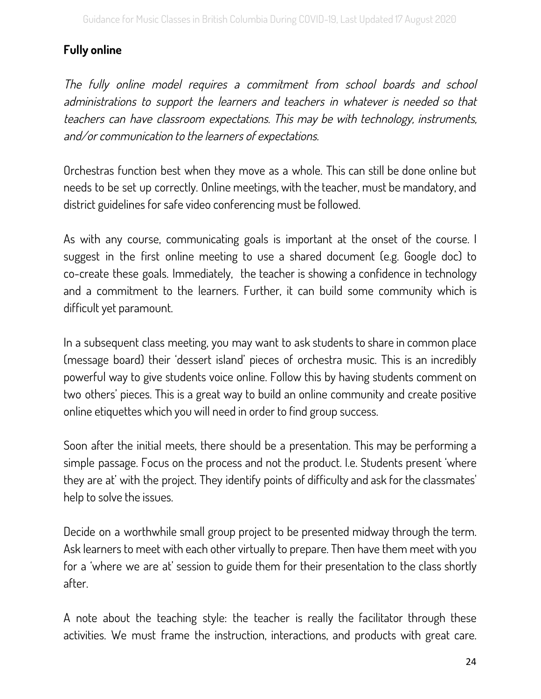#### **Fully online**

The fully online model requires <sup>a</sup> commitment from school boards and school administrations to support the learners and teachers in whatever is needed so that teachers can have classroom expectations. This may be with technology, instruments, and/or communication to the learners of expectations.

Orchestras function best when they move as a whole. This can still be done online but needs to be set up correctly. Online meetings, with the teacher, must be mandatory, and district guidelines for safe video conferencing must be followed.

As with any course, communicating goals is important at the onset of the course. I suggest in the first online meeting to use a shared document (e.g. Google doc) to co-create these goals. Immediately, the teacher is showing a confidence in technology and a commitment to the learners. Further, it can build some community which is difficult yet paramount.

In a subsequent class meeting, you may want to ask students to share in common place (message board) their 'dessert island' pieces of orchestra music. This is an incredibly powerful way to give students voice online. Follow this by having students comment on two others' pieces. This is a great way to build an online community and create positive online etiquettes which you will need in order to find group success.

Soon after the initial meets, there should be a presentation. This may be performing a simple passage. Focus on the process and not the product. I.e. Students present 'where they are at' with the project. They identify points of difficulty and ask for the classmates' help to solve the issues.

Decide on a worthwhile small group project to be presented midway through the term. Ask learners to meet with each other virtually to prepare. Then have them meet with you for a 'where we are at' session to guide them for their presentation to the class shortly after.

A note about the teaching style: the teacher is really the facilitator through these activities. We must frame the instruction, interactions, and products with great care.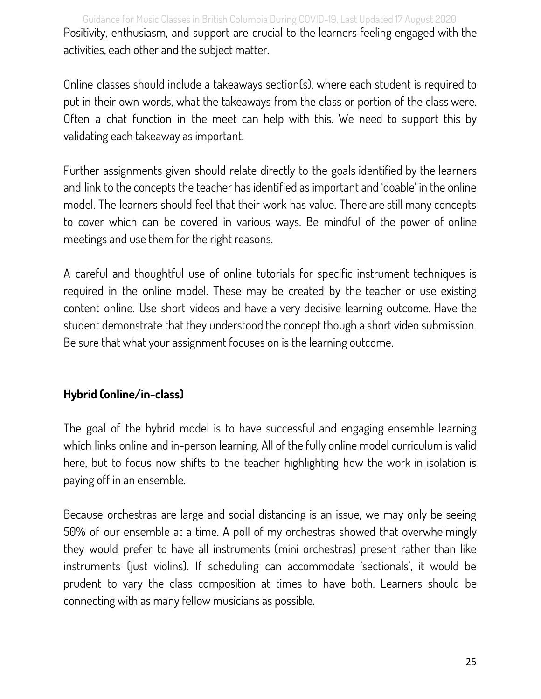Guidance for Music Classes in British Columbia During COVID-19, Last Updated 17 August 2020 Positivity, enthusiasm, and support are crucial to the learners feeling engaged with the activities, each other and the subject matter.

Online classes should include a takeaways section(s), where each student is required to put in their own words, what the takeaways from the class or portion of the class were. Often a chat function in the meet can help with this. We need to support this by validating each takeaway as important.

Further assignments given should relate directly to the goals identified by the learners and link to the concepts the teacher has identified as important and 'doable' in the online model. The learners should feel that their work has value. There are still many concepts to cover which can be covered in various ways. Be mindful of the power of online meetings and use them for the right reasons.

A careful and thoughtful use of online tutorials for specific instrument techniques is required in the online model. These may be created by the teacher or use existing content online. Use short videos and have a very decisive learning outcome. Have the student demonstrate that they understood the concept though a short video submission. Be sure that what your assignment focuses on is the learning outcome.

#### **Hybrid (online/in-class)**

The goal of the hybrid model is to have successful and engaging ensemble learning which links online and in-person learning. All of the fully online model curriculum is valid here, but to focus now shifts to the teacher highlighting how the work in isolation is paying off in an ensemble.

Because orchestras are large and social distancing is an issue, we may only be seeing 50% of our ensemble at a time. A poll of my orchestras showed that overwhelmingly they would prefer to have all instruments (mini orchestras) present rather than like instruments (just violins). If scheduling can accommodate 'sectionals', it would be prudent to vary the class composition at times to have both. Learners should be connecting with as many fellow musicians as possible.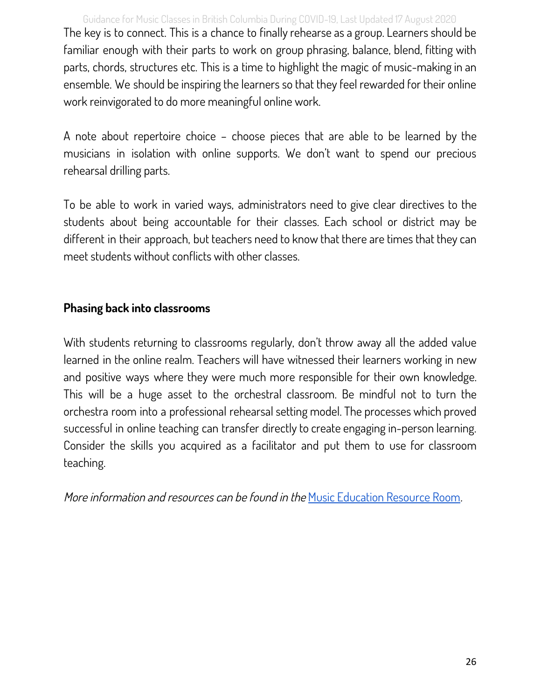Guidance for Music Classes in British Columbia During COVID-19, Last Updated 17 August 2020 The key is to connect. This is a chance to finally rehearse as a group. Learners should be familiar enough with their parts to work on group phrasing, balance, blend, fitting with parts, chords, structures etc. This is a time to highlight the magic of music-making in an ensemble. We should be inspiring the learners so that they feel rewarded for their online work reinvigorated to do more meaningful online work.

A note about repertoire choice – choose pieces that are able to be learned by the musicians in isolation with online supports. We don't want to spend our precious rehearsal drilling parts.

To be able to work in varied ways, administrators need to give clear directives to the students about being accountable for their classes. Each school or district may be different in their approach, but teachers need to know that there are times that they can meet students without conflicts with other classes.

#### **Phasing back into classrooms**

With students returning to classrooms regularly, don't throw away all the added value learned in the online realm. Teachers will have witnessed their learners working in new and positive ways where they were much more responsible for their own knowledge. This will be a huge asset to the orchestral classroom. Be mindful not to turn the orchestra room into a professional rehearsal setting model. The processes which proved successful in online teaching can transfer directly to create engaging in-person learning. Consider the skills you acquired as a facilitator and put them to use for classroom teaching.

More information and resources can be found in the Music [Education](#page-42-0) Resource Room.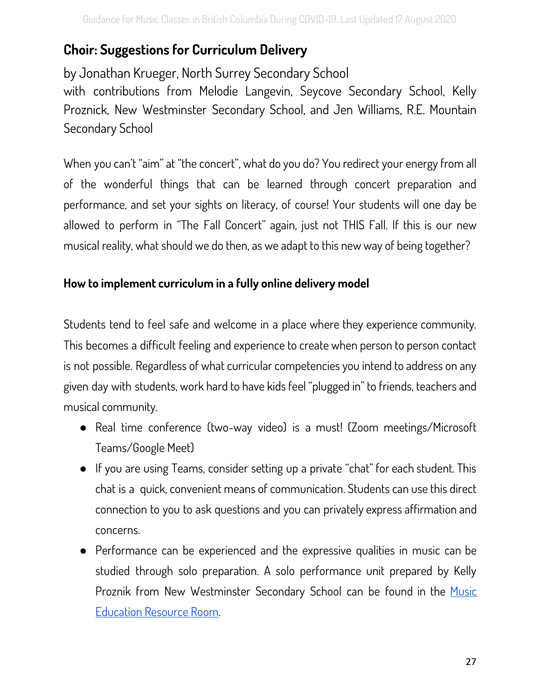## <span id="page-27-0"></span>**Choir: Suggestions for Curriculum Delivery**

by Jonathan Krueger, North Surrey Secondary School

with contributions from Melodie Langevin, Seycove Secondary School, Kelly Proznick, New Westminster Secondary School, and Jen Williams, R.E. Mountain Secondary School

When you can't "aim" at "the concert", what do you do? You redirect your energy from all of the wonderful things that can be learned through concert preparation and performance, and set your sights on literacy, of course! Your students will one day be allowed to perform in "The Fall Concert" again, just not THIS Fall. If this is our new musical reality, what should we do then, as we adapt to this new way of being together?

#### **How to implement curriculum in a fully online delivery model**

Students tend to feel safe and welcome in a place where they experience community. This becomes a difficult feeling and experience to create when person to person contact is not possible. Regardless of what curricular competencies you intend to address on any given day with students, work hard to have kids feel "plugged in" to friends, teachers and musical community.

- Real time conference (two-way video) is a must! (Zoom meetings/Microsoft Teams/Google Meet)
- If you are using Teams, consider setting up a private "chat" for each student. This chat is a quick, convenient means of communication. Students can use this direct connection to you to ask questions and you can privately express affirmation and concerns.
- Performance can be experienced and the expressive qualities in music can be studied through solo preparation. A solo performance unit prepared by Kelly Proznik from New Westminster Secondary School can be found in the [Music](#page-42-0) [Education](#page-42-0) Resource Room.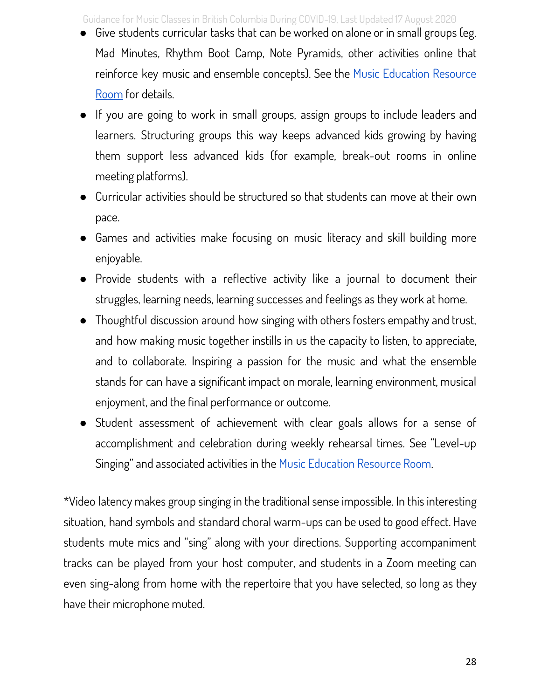Guidance for Music Classes in British Columbia During COVID-19, Last Updated 17 August 2020

- Give students curricular tasks that can be worked on alone or in small groups (eg. Mad Minutes, Rhythm Boot Camp, Note Pyramids, other activities online that reinforce key music and ensemble concepts). See the Music [Education](#page-42-0) Resource [Room](#page-42-0) for details.
- If you are going to work in small groups, assign groups to include leaders and learners. Structuring groups this way keeps advanced kids growing by having them support less advanced kids (for example, break-out rooms in online meeting platforms).
- Curricular activities should be structured so that students can move at their own pace.
- Games and activities make focusing on music literacy and skill building more enjoyable.
- Provide students with a reflective activity like a journal to document their struggles, learning needs, learning successes and feelings as they work at home.
- Thoughtful discussion around how singing with others fosters empathy and trust, and how making music together instills in us the capacity to listen, to appreciate, and to collaborate. Inspiring a passion for the music and what the ensemble stands for can have a significant impact on morale, learning environment, musical enjoyment, and the final performance or outcome.
- Student assessment of achievement with clear goals allows for a sense of accomplishment and celebration during weekly rehearsal times. See "Level-up Singing" and associated activities in the Music [Education](#page-42-0) Resource Room.

\*Video latency makes group singing in the traditional sense impossible. In this interesting situation, hand symbols and standard choral warm-ups can be used to good effect. Have students mute mics and "sing" along with your directions. Supporting accompaniment tracks can be played from your host computer, and students in a Zoom meeting can even sing-along from home with the repertoire that you have selected, so long as they have their microphone muted.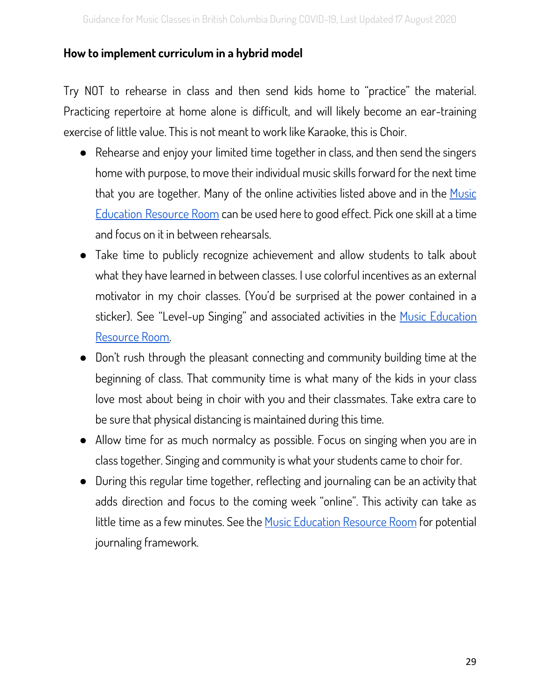#### **How to implement curriculum in a hybrid model**

Try NOT to rehearse in class and then send kids home to "practice" the material. Practicing repertoire at home alone is difficult, and will likely become an ear-training exercise of little value. This is not meant to work like Karaoke, this is Choir.

- Rehearse and enjoy your limited time together in class, and then send the singers home with purpose, to move their individual music skills forward for the next time that you are together. Many of the online activities listed above and in the [Music](#page-42-0) [Education](#page-42-0) Resource Room can be used here to good effect. Pick one skill at a time and focus on it in between rehearsals.
- Take time to publicly recognize achievement and allow students to talk about what they have learned in between classes. I use colorful incentives as an external motivator in my choir classes. (You'd be surprised at the power contained in a sticker). See "Level-up Singing" and associated activities in the Music [Education](#page-42-0) [Resource](#page-42-0) Room.
- Don't rush through the pleasant connecting and community building time at the beginning of class. That community time is what many of the kids in your class love most about being in choir with you and their classmates. Take extra care to be sure that physical distancing is maintained during this time.
- Allow time for as much normalcy as possible. Focus on singing when you are in class together. Singing and community is what your students came to choir for.
- During this regular time together, reflecting and journaling can be an activity that adds direction and focus to the coming week "online". This activity can take as little time as a few minutes. See the Music [Education](#page-42-0) Resource Room for potential journaling framework.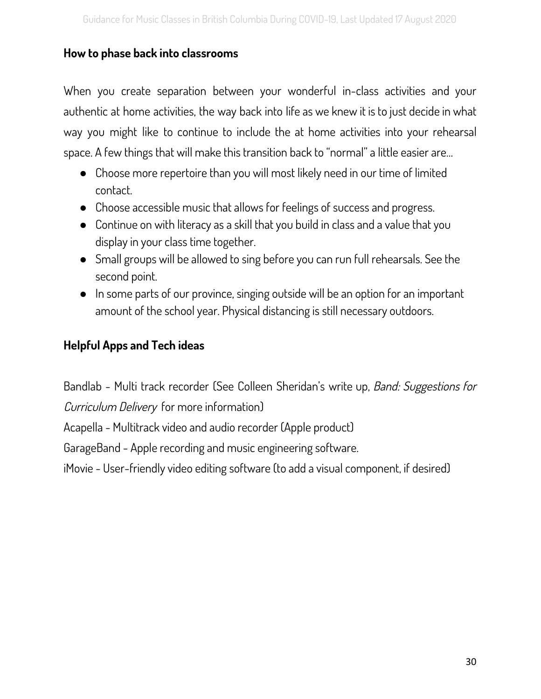#### **How to phase back into classrooms**

When you create separation between your wonderful in-class activities and your authentic at home activities, the way back into life as we knew it is to just decide in what way you might like to continue to include the at home activities into your rehearsal space. A few things that will make this transition back to "normal" a little easier are…

- Choose more repertoire than you will most likely need in our time of limited contact.
- Choose accessible music that allows for feelings of success and progress.
- Continue on with literacy as a skill that you build in class and a value that you display in your class time together.
- Small groups will be allowed to sing before you can run full rehearsals. See the second point.
- In some parts of our province, singing outside will be an option for an important amount of the school year. Physical distancing is still necessary outdoors.

#### **Helpful Apps and Tech ideas**

Bandlab - Multi track recorder (See Colleen Sheridan's write up, Band: Suggestions for Curriculum Delivery for more information)

Acapella - Multitrack video and audio recorder (Apple product)

GarageBand - Apple recording and music engineering software.

iMovie - User-friendly video editing software (to add a visual component, if desired)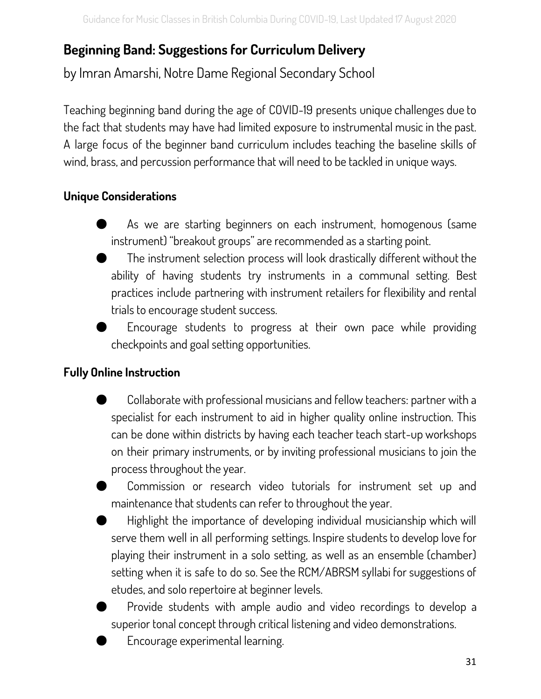## <span id="page-31-0"></span>**Beginning Band: Suggestions for Curriculum Delivery**

by Imran Amarshi, Notre Dame Regional Secondary School

Teaching beginning band during the age of COVID-19 presents unique challenges due to the fact that students may have had limited exposure to instrumental music in the past. A large focus of the beginner band curriculum includes teaching the baseline skills of wind, brass, and percussion performance that will need to be tackled in unique ways.

#### **Unique Considerations**

- As we are starting beginners on each instrument, homogenous (same instrument) "breakout groups" are recommended as a starting point.
- The instrument selection process will look drastically different without the ability of having students try instruments in a communal setting. Best practices include partnering with instrument retailers for flexibility and rental trials to encourage student success.
- Encourage students to progress at their own pace while providing checkpoints and goal setting opportunities.

#### **Fully Online Instruction**

- Collaborate with professional musicians and fellow teachers: partner with a specialist for each instrument to aid in higher quality online instruction. This can be done within districts by having each teacher teach start-up workshops on their primary instruments, or by inviting professional musicians to join the process throughout the year.
- Commission or research video tutorials for instrument set up and maintenance that students can refer to throughout the year.
- Highlight the importance of developing individual musicianship which will serve them well in all performing settings. Inspire students to develop love for playing their instrument in a solo setting, as well as an ensemble (chamber) setting when it is safe to do so. See the RCM/ABRSM syllabi for suggestions of etudes, and solo repertoire at beginner levels.
- Provide students with ample audio and video recordings to develop a superior tonal concept through critical listening and video demonstrations.
- Encourage experimental learning.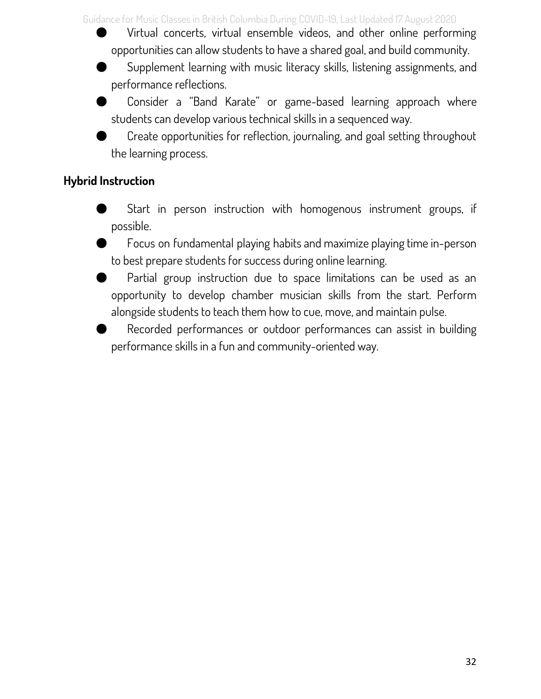Guidance for Music Classes in British Columbia During COVID-19, Last Updated 17 August 2020

Virtual concerts, virtual ensemble videos, and other online performing opportunities can allow students to have a shared goal, and build community.

- Supplement learning with music literacy skills, listening assignments, and performance reflections.
- Consider a "Band Karate" or game-based learning approach where students can develop various technical skills in a sequenced way.
- Create opportunities for reflection, journaling, and goal setting throughout the learning process.

#### **Hybrid Instruction**

- Start in person instruction with homogenous instrument groups, if possible.
- Focus on fundamental playing habits and maximize playing time in-person to best prepare students for success during online learning.
- Partial group instruction due to space limitations can be used as an opportunity to develop chamber musician skills from the start. Perform alongside students to teach them how to cue, move, and maintain pulse.
- Recorded performances or outdoor performances can assist in building performance skills in a fun and community-oriented way.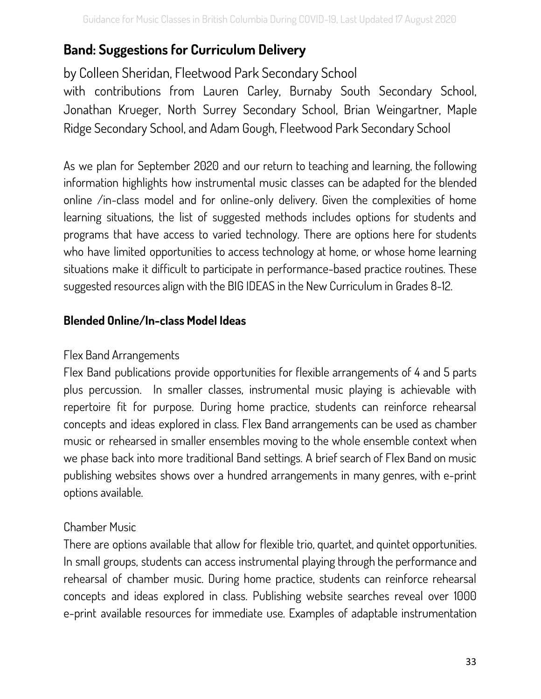## <span id="page-33-0"></span>**Band: Suggestions for Curriculum Delivery**

by Colleen Sheridan, Fleetwood Park Secondary School

with contributions from Lauren Carley, Burnaby South Secondary School, Jonathan Krueger, North Surrey Secondary School, Brian Weingartner, Maple Ridge Secondary School, and Adam Gough, Fleetwood Park Secondary School

As we plan for September 2020 and our return to teaching and learning, the following information highlights how instrumental music classes can be adapted for the blended online /in-class model and for online-only delivery. Given the complexities of home learning situations, the list of suggested methods includes options for students and programs that have access to varied technology. There are options here for students who have limited opportunities to access technology at home, or whose home learning situations make it difficult to participate in performance-based practice routines. These suggested resources align with the BIG IDEAS in the New Curriculum in Grades 8-12.

#### **Blended Online/In-class Model Ideas**

#### Flex Band Arrangements

Flex Band publications provide opportunities for flexible arrangements of 4 and 5 parts plus percussion. In smaller classes, instrumental music playing is achievable with repertoire fit for purpose. During home practice, students can reinforce rehearsal concepts and ideas explored in class. Flex Band arrangements can be used as chamber music or rehearsed in smaller ensembles moving to the whole ensemble context when we phase back into more traditional Band settings. A brief search of Flex Band on music publishing websites shows over a hundred arrangements in many genres, with e-print options available.

#### Chamber Music

There are options available that allow for flexible trio, quartet, and quintet opportunities. In small groups, students can access instrumental playing through the performance and rehearsal of chamber music. During home practice, students can reinforce rehearsal concepts and ideas explored in class. Publishing website searches reveal over 1000 e-print available resources for immediate use. Examples of adaptable instrumentation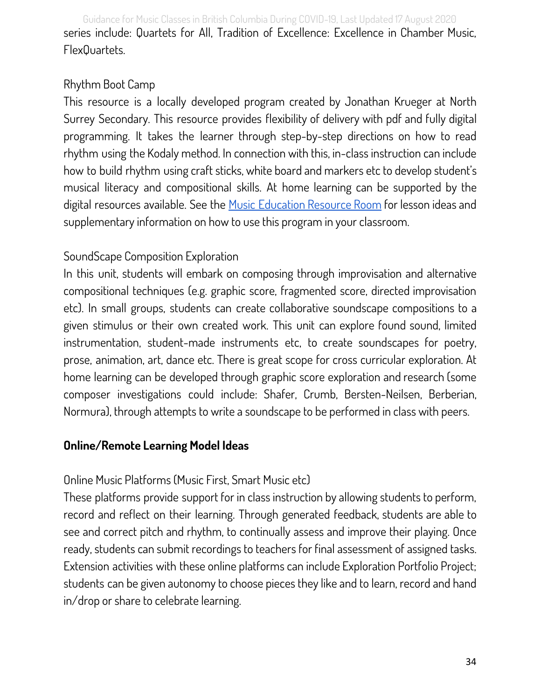Guidance for Music Classes in British Columbia During COVID-19, Last Updated 17 August 2020 series include: Quartets for All, Tradition of Excellence: Excellence in Chamber Music, FlexQuartets.

#### Rhythm Boot Camp

This resource is a locally developed program created by Jonathan Krueger at North Surrey Secondary. This resource provides flexibility of delivery with pdf and fully digital programming. It takes the learner through step-by-step directions on how to read rhythm using the Kodaly method. In connection with this, in-class instruction can include how to build rhythm using craft sticks, white board and markers etc to develop student's musical literacy and compositional skills. At home learning can be supported by the digital resources available. See the Music [Education](#page-42-0) Resource Room for lesson ideas and supplementary information on how to use this program in your classroom.

#### SoundScape Composition Exploration

In this unit, students will embark on composing through improvisation and alternative compositional techniques (e.g. graphic score, fragmented score, directed improvisation etc). In small groups, students can create collaborative soundscape compositions to a given stimulus or their own created work. This unit can explore found sound, limited instrumentation, student-made instruments etc, to create soundscapes for poetry, prose, animation, art, dance etc. There is great scope for cross curricular exploration. At home learning can be developed through graphic score exploration and research (some composer investigations could include: Shafer, Crumb, Bersten-Neilsen, Berberian, Normura), through attempts to write a soundscape to be performed in class with peers.

#### **Online/Remote Learning Model Ideas**

#### Online Music Platforms (Music First, Smart Music etc)

These platforms provide support for in class instruction by allowing students to perform, record and reflect on their learning. Through generated feedback, students are able to see and correct pitch and rhythm, to continually assess and improve their playing. Once ready, students can submit recordings to teachers for final assessment of assigned tasks. Extension activities with these online platforms can include Exploration Portfolio Project; students can be given autonomy to choose pieces they like and to learn, record and hand in/drop or share to celebrate learning.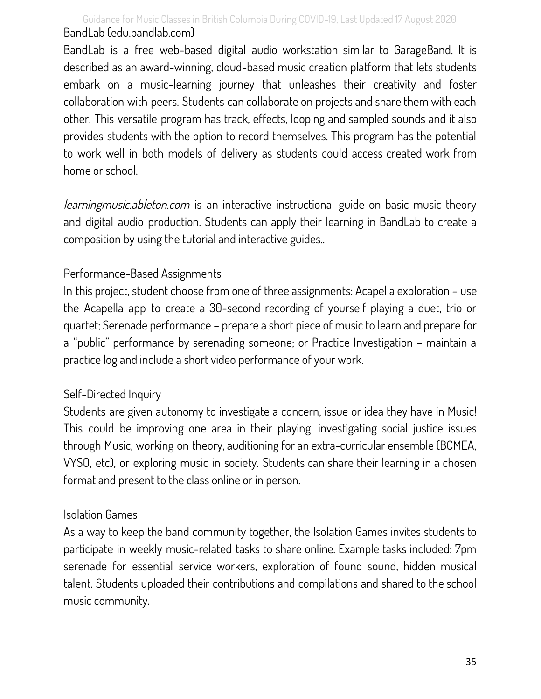Guidance for Music Classes in British Columbia During COVID-19, Last Updated 17 August 2020 BandLab (edu.bandlab.com)

BandLab is a free web-based digital audio workstation similar to GarageBand. It is described as an award-winning, cloud-based music creation platform that lets students embark on a music-learning journey that unleashes their creativity and foster collaboration with peers. Students can collaborate on projects and share them with each other. This versatile program has track, effects, looping and sampled sounds and it also provides students with the option to record themselves. This program has the potential to work well in both models of delivery as students could access created work from home or school.

learningmusic.ableton.com is an interactive instructional guide on basic music theory and digital audio production. Students can apply their learning in BandLab to create a composition by using the tutorial and interactive guides..

#### Performance-Based Assignments

In this project, student choose from one of three assignments: Acapella exploration – use the Acapella app to create a 30-second recording of yourself playing a duet, trio or quartet; Serenade performance – prepare a short piece of music to learn and prepare for a "public" performance by serenading someone; or Practice Investigation – maintain a practice log and include a short video performance of your work.

#### Self-Directed Inquiry

Students are given autonomy to investigate a concern, issue or idea they have in Music! This could be improving one area in their playing, investigating social justice issues through Music, working on theory, auditioning for an extra-curricular ensemble (BCMEA, VYSO, etc), or exploring music in society. Students can share their learning in a chosen format and present to the class online or in person.

#### Isolation Games

As a way to keep the band community together, the Isolation Games invites students to participate in weekly music-related tasks to share online. Example tasks included: 7pm serenade for essential service workers, exploration of found sound, hidden musical talent. Students uploaded their contributions and compilations and shared to the school music community.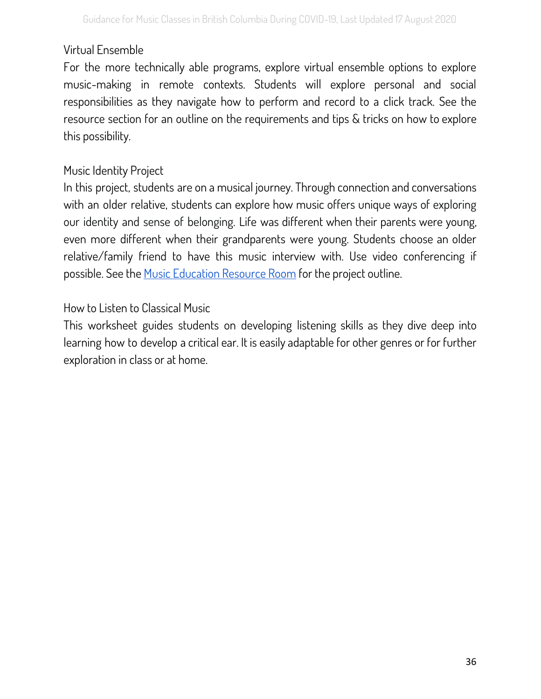#### Virtual Ensemble

For the more technically able programs, explore virtual ensemble options to explore music-making in remote contexts. Students will explore personal and social responsibilities as they navigate how to perform and record to a click track. See the resource section for an outline on the requirements and tips & tricks on how to explore this possibility.

#### Music Identity Project

In this project, students are on a musical journey. Through connection and conversations with an older relative, students can explore how music offers unique ways of exploring our identity and sense of belonging. Life was different when their parents were young, even more different when their grandparents were young. Students choose an older relative/family friend to have this music interview with. Use video conferencing if possible. See the Music [Education](#page-42-0) Resource Room for the project outline.

#### How to Listen to Classical Music

This worksheet guides students on developing listening skills as they dive deep into learning how to develop a critical ear. It is easily adaptable for other genres or for further exploration in class or at home.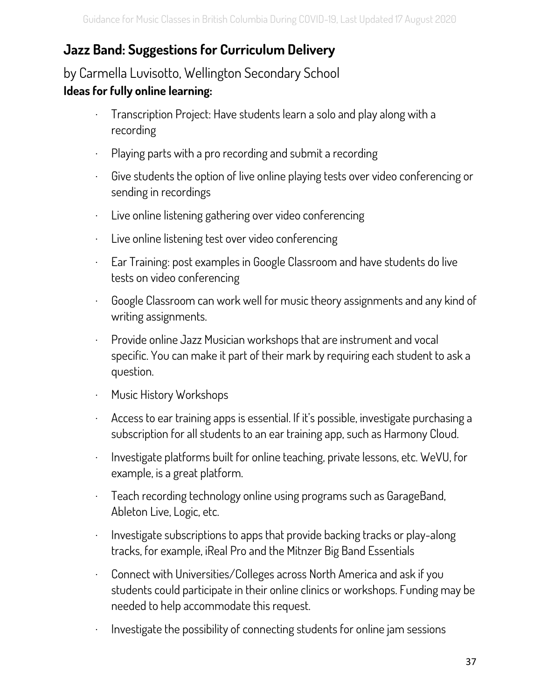## <span id="page-37-0"></span>**Jazz Band: Suggestions for Curriculum Delivery**

## by Carmella Luvisotto, Wellington Secondary School **Ideas for fully online learning:**

- · Transcription Project: Have students learn a solo and play along with a recording
- · Playing parts with a pro recording and submit a recording
- · Give students the option of live online playing tests over video conferencing or sending in recordings
- · Live online listening gathering over video conferencing
- · Live online listening test over video conferencing
- · Ear Training: post examples in Google Classroom and have students do live tests on video conferencing
- · Google Classroom can work well for music theory assignments and any kind of writing assignments.
- · Provide online Jazz Musician workshops that are instrument and vocal specific. You can make it part of their mark by requiring each student to ask a question.
- · Music History Workshops
- · Access to ear training apps is essential. If it's possible, investigate purchasing a subscription for all students to an ear training app, such as Harmony Cloud.
- · Investigate platforms built for online teaching, private lessons, etc. WeVU, for example, is a great platform.
- · Teach recording technology online using programs such as GarageBand, Ableton Live, Logic, etc.
- · Investigate subscriptions to apps that provide backing tracks or play-along tracks, for example, iReal Pro and the Mitnzer Big Band Essentials
- · Connect with Universities/Colleges across North America and ask if you students could participate in their online clinics or workshops. Funding may be needed to help accommodate this request.
- · Investigate the possibility of connecting students for online jam sessions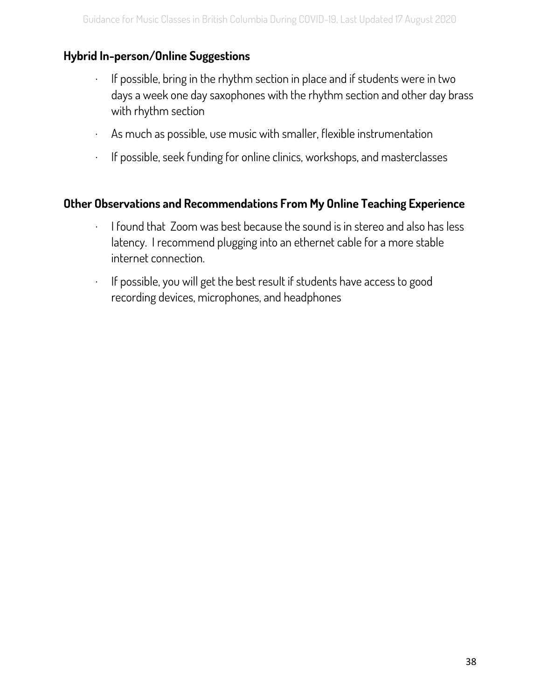#### **Hybrid In-person/Online Suggestions**

- · If possible, bring in the rhythm section in place and if students were in two days a week one day saxophones with the rhythm section and other day brass with rhythm section
- · As much as possible, use music with smaller, flexible instrumentation
- · If possible, seek funding for online clinics, workshops, and masterclasses

#### **Other Observations and Recommendations From My Online Teaching Experience**

- $\cdot$  I found that Zoom was best because the sound is in stereo and also has less latency. I recommend plugging into an ethernet cable for a more stable internet connection.
- · If possible, you will get the best result if students have access to good recording devices, microphones, and headphones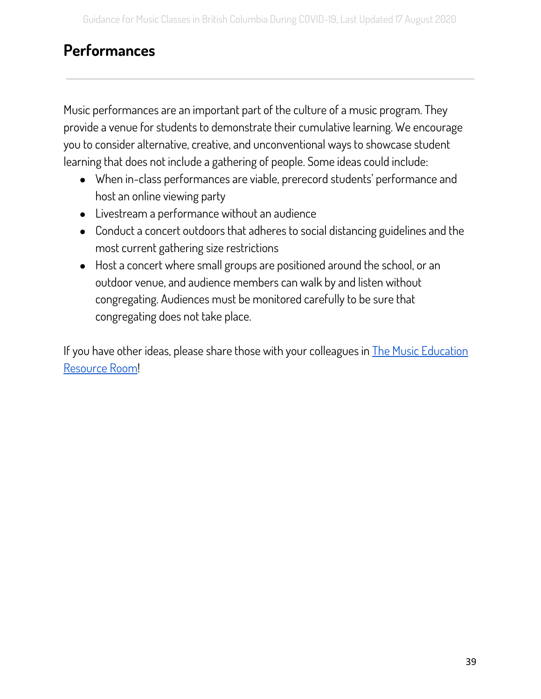## <span id="page-39-0"></span>**Performances**

Music performances are an important part of the culture of a music program. They provide a venue for students to demonstrate their cumulative learning. We encourage you to consider alternative, creative, and unconventional ways to showcase student learning that does not include a gathering of people. Some ideas could include:

- When in-class performances are viable, prerecord students' performance and host an online viewing party
- Livestream a performance without an audience
- Conduct a concert outdoors that adheres to social distancing guidelines and the most current gathering size restrictions
- Host a concert where small groups are positioned around the school, or an outdoor venue, and audience members can walk by and listen without congregating. Audiences must be monitored carefully to be sure that congregating does not take place.

If you have other ideas, please share those with your colleagues in  $\Gamma$ he Music [Education](#page-42-0) [Resource](#page-42-0) Room!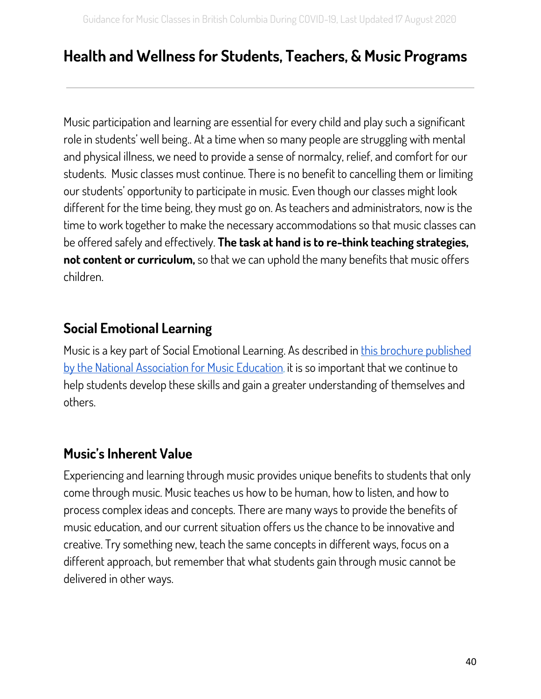## <span id="page-40-0"></span>**Health and Wellness for Students, Teachers, & Music Programs**

Music participation and learning are essential for every child and play such a significant role in students' well being.. At a time when so many people are struggling with mental and physical illness, we need to provide a sense of normalcy, relief, and comfort for our students. Music classes must continue. There is no benefit to cancelling them or limiting our students' opportunity to participate in music. Even though our classes might look different for the time being, they must go on. As teachers and administrators, now is the time to work together to make the necessary accommodations so that music classes can be offered safely and effectively. **The task at hand is to re-think teaching strategies, not content or curriculum,** so that we can uphold the many benefits that music offers children.

## <span id="page-40-1"></span>**Social Emotional Learning**

Music is a key part of Social Emotional Learning. As described in this brochure [published](https://nafme.org/wp-content/files/2020/05/NAfME-SEL-Brochure-April-2020.pdf) by the National [Association](https://nafme.org/wp-content/files/2020/05/NAfME-SEL-Brochure-April-2020.pdf) for Music Education, it is so important that we continue to help students develop these skills and gain a greater understanding of themselves and others.

## <span id="page-40-2"></span>**Music's Inherent Value**

Experiencing and learning through music provides unique benefits to students that only come through music. Music teaches us how to be human, how to listen, and how to process complex ideas and concepts. There are many ways to provide the benefits of music education, and our current situation offers us the chance to be innovative and creative. Try something new, teach the same concepts in different ways, focus on a different approach, but remember that what students gain through music cannot be delivered in other ways.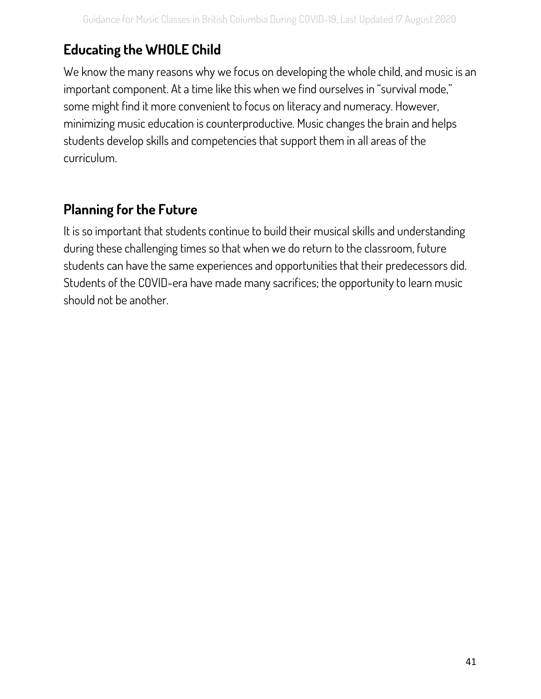## <span id="page-41-0"></span>**Educating the WHOLE Child**

We know the many reasons why we focus on developing the whole child, and music is an important component. At a time like this when we find ourselves in "survival mode," some might find it more convenient to focus on literacy and numeracy. However, minimizing music education is counterproductive. Music changes the brain and helps students develop skills and competencies that support them in all areas of the curriculum.

## <span id="page-41-1"></span>**Planning for the Future**

It is so important that students continue to build their musical skills and understanding during these challenging times so that when we do return to the classroom, future students can have the same experiences and opportunities that their predecessors did. Students of the COVID-era have made many sacrifices; the opportunity to learn music should not be another.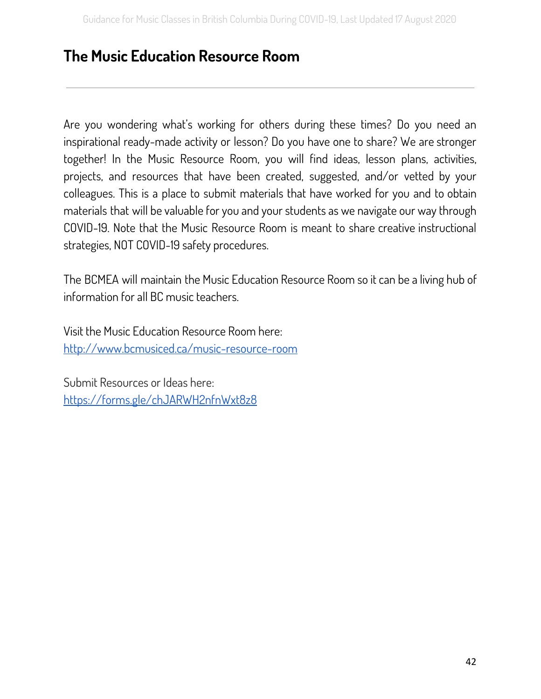## <span id="page-42-0"></span>**The Music Education Resource Room**

Are you wondering what's working for others during these times? Do you need an inspirational ready-made activity or lesson? Do you have one to share? We are stronger together! In the Music Resource Room, you will find ideas, lesson plans, activities, projects, and resources that have been created, suggested, and/or vetted by your colleagues. This is a place to submit materials that have worked for you and to obtain materials that will be valuable for you and your students as we navigate our way through COVID-19. Note that the Music Resource Room is meant to share creative instructional strategies, NOT COVID-19 safety procedures.

The BCMEA will maintain the Music Education Resource Room so it can be a living hub of information for all BC music teachers.

Visit the Music Education Resource Room here: <http://www.bcmusiced.ca/music-resource-room>

Submit Resources or Ideas here: <https://forms.gle/chJARWH2nfnWxt8z8>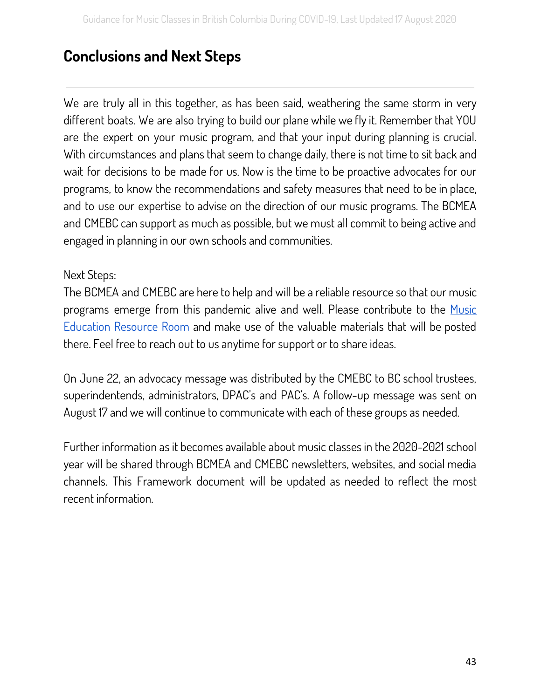## <span id="page-43-0"></span>**Conclusions and Next Steps**

We are truly all in this together, as has been said, weathering the same storm in very different boats. We are also trying to build our plane while we fly it. Remember that YOU are the expert on your music program, and that your input during planning is crucial. With circumstances and plans that seem to change daily, there is not time to sit back and wait for decisions to be made for us. Now is the time to be proactive advocates for our programs, to know the recommendations and safety measures that need to be in place, and to use our expertise to advise on the direction of our music programs. The BCMEA and CMEBC can support as much as possible, but we must all commit to being active and engaged in planning in our own schools and communities.

#### Next Steps:

The BCMEA and CMEBC are here to help and will be a reliable resource so that our music programs emerge from this pandemic alive and well. Please contribute to the [Music](#page-42-0) [Education](#page-42-0) Resource Room and make use of the valuable materials that will be posted there. Feel free to reach out to us anytime for support or to share ideas.

On June 22, an advocacy message was distributed by the CMEBC to BC school trustees, superindentends, administrators, DPAC's and PAC's. A follow-up message was sent on August 17 and we will continue to communicate with each of these groups as needed.

Further information as it becomes available about music classes in the 2020-2021 school year will be shared through BCMEA and CMEBC newsletters, websites, and social media channels. This Framework document will be updated as needed to reflect the most recent information.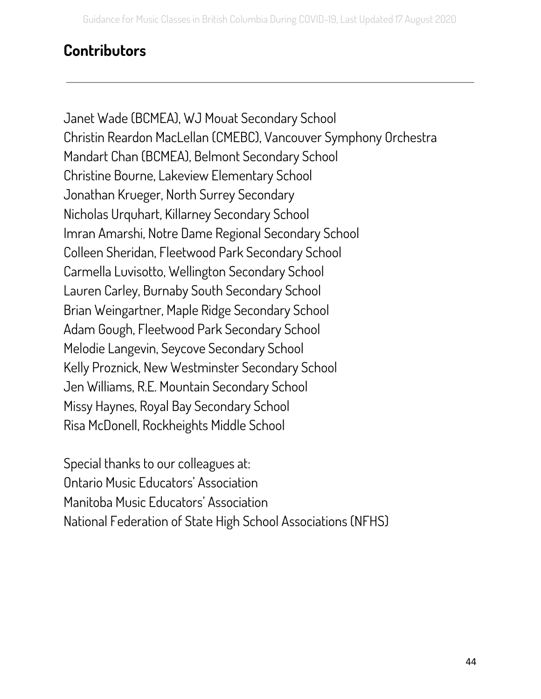## <span id="page-44-0"></span>**Contributors**

Janet Wade (BCMEA), WJ Mouat Secondary School Christin Reardon MacLellan (CMEBC), Vancouver Symphony Orchestra Mandart Chan (BCMEA), Belmont Secondary School Christine Bourne, Lakeview Elementary School Jonathan Krueger, North Surrey Secondary Nicholas Urquhart, Killarney Secondary School Imran Amarshi, Notre Dame Regional Secondary School Colleen Sheridan, Fleetwood Park Secondary School Carmella Luvisotto, Wellington Secondary School Lauren Carley, Burnaby South Secondary School Brian Weingartner, Maple Ridge Secondary School Adam Gough, Fleetwood Park Secondary School Melodie Langevin, Seycove Secondary School Kelly Proznick, New Westminster Secondary School Jen Williams, R.E. Mountain Secondary School Missy Haynes, Royal Bay Secondary School Risa McDonell, Rockheights Middle School

Special thanks to our colleagues at: Ontario Music Educators' Association Manitoba Music Educators' Association National Federation of State High School Associations (NFHS)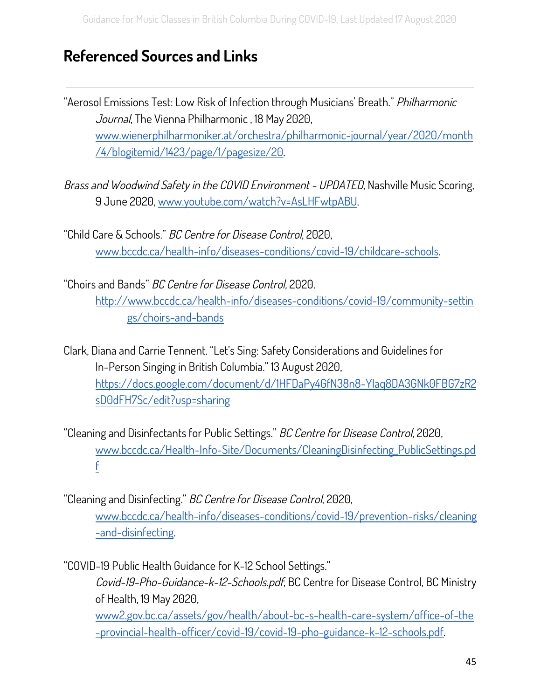## <span id="page-45-0"></span>**Referenced Sources and Links**

"Aerosol Emissions Test: Low Risk of Infection through Musicians' Breath." Philharmonic Journal, The Vienna Philharmonic, 18 May 2020, [www.wienerphilharmoniker.at/orchestra/philharmonic-journal/year/2020/month](http://www.wienerphilharmoniker.at/orchestra/philharmonic-journal/year/2020/month/4/blogitemid/1423/page/1/pagesize/20) [/4/blogitemid/1423/page/1/pagesize/20.](http://www.wienerphilharmoniker.at/orchestra/philharmonic-journal/year/2020/month/4/blogitemid/1423/page/1/pagesize/20)

Brass and Woodwind Safety in the COVID Environment - UPDATED, Nashville Music Scoring, 9 June 2020, [www.youtube.com/watch?v=AsLHFwtpABU](http://www.youtube.com/watch?v=AsLHFwtpABU).

"Child Care & Schools." BC Centre for Disease Control, 2020, [www.bccdc.ca/health-info/diseases-conditions/covid-19/childcare-schools](http://www.bccdc.ca/health-info/diseases-conditions/covid-19/childcare-schools).

"Choirs and Bands" BC Centre for Disease Control, 2020. [http://www.bccdc.ca/health-info/diseases-conditions/covid-19/community-settin](http://www.bccdc.ca/health-info/diseases-conditions/covid-19/community-settings/choirs-and-bands) [gs/choirs-and-bands](http://www.bccdc.ca/health-info/diseases-conditions/covid-19/community-settings/choirs-and-bands)

Clark, Diana and Carrie Tennent. "Let's Sing: Safety Considerations and Guidelines for In-Person Singing in British Columbia." 13 August 2020, [https://docs.google.com/document/d/1HFDaPy4GfN38n8-YIaq8DA3GNk0FBG7zR2](https://docs.google.com/document/d/1HFDaPy4GfN38n8-YIaq8DA3GNk0FBG7zR2sD0dFH7Sc/edit?usp=sharing) [sD0dFH7Sc/edit?usp=sharing](https://docs.google.com/document/d/1HFDaPy4GfN38n8-YIaq8DA3GNk0FBG7zR2sD0dFH7Sc/edit?usp=sharing)

"Cleaning and Disinfectants for Public Settings." BC Centre for Disease Control, 2020, [www.bccdc.ca/Health-Info-Site/Documents/CleaningDisinfecting\\_PublicSettings.pd](http://www.bccdc.ca/Health-Info-Site/Documents/CleaningDisinfecting_PublicSettings.pdf) [f](http://www.bccdc.ca/Health-Info-Site/Documents/CleaningDisinfecting_PublicSettings.pdf)

"Cleaning and Disinfecting." BC Centre for Disease Control, 2020, [www.bccdc.ca/health-info/diseases-conditions/covid-19/prevention-risks/cleaning](http://www.bccdc.ca/health-info/diseases-conditions/covid-19/prevention-risks/cleaning-and-disinfecting) [-and-disinfecting](http://www.bccdc.ca/health-info/diseases-conditions/covid-19/prevention-risks/cleaning-and-disinfecting).

"COVID-19 Public Health Guidance for K-12 School Settings."

Covid-19-Pho-Guidance-k-12-Schools.pdf, BC Centre for Disease Control, BC Ministry of Health, 19 May 2020,

[www2.gov.bc.ca/assets/gov/health/about-bc-s-health-care-system/office-of-the](https://www2.gov.bc.ca/assets/gov/health/about-bc-s-health-care-system/office-of-the-provincial-health-officer/covid-19/covid-19-pho-guidance-k-12-schools.pdf) [-provincial-health-officer/covid-19/covid-19-pho-guidance-k-12-schools.pdf](https://www2.gov.bc.ca/assets/gov/health/about-bc-s-health-care-system/office-of-the-provincial-health-officer/covid-19/covid-19-pho-guidance-k-12-schools.pdf).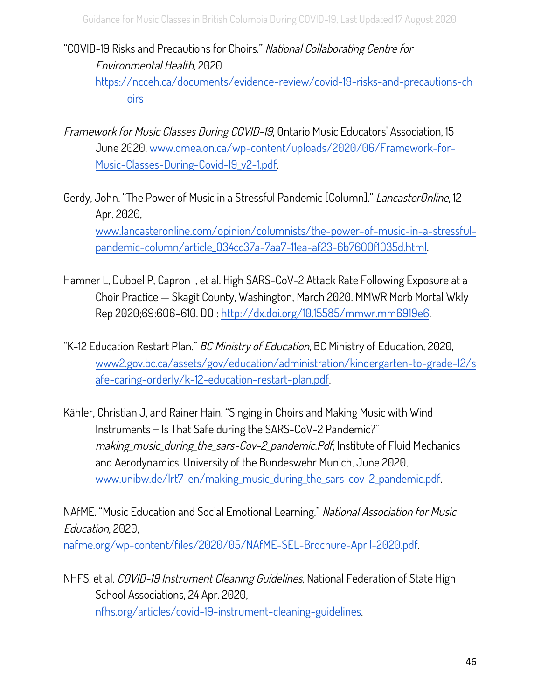#### "COVID-19 Risks and Precautions for Choirs." National Collaborating Centre for Environmental Health, 2020.

[https://ncceh.ca/documents/evidence-review/covid-19-risks-and-precautions-ch](https://ncceh.ca/documents/evidence-review/covid-19-risks-and-precautions-choirs) [oirs](https://ncceh.ca/documents/evidence-review/covid-19-risks-and-precautions-choirs)

- Framework for Music Classes During COVID-19, Ontario Music Educators' Association, 15 June 2020, [www.omea.on.ca/wp-content/uploads/2020/06/Framework-for-](http://www.omea.on.ca/wp-content/uploads/2020/06/Framework-for-)[Music-Classes-During-Covid-19\\_v2-1.pdf.](http://www.omea.on.ca/wp-content/uploads/2020/06/Framework-for-)
- Gerdy, John. "The Power of Music in a Stressful Pandemic [Column]." LancasterOnline, 12 Apr. 2020, [www.lancasteronline.com/opinion/columnists/the-power-of-music-in-a-stressful](http://www.lancasteronline.com/opinion/columnists/the-power-of-music-in-a-stressful)[pandemic-column/article\\_034cc37a-7aa7-11ea-af23-6b7600f1035d.html](http://www.lancasteronline.com/opinion/columnists/the-power-of-music-in-a-stressful).
- Hamner L, Dubbel P, Capron I, et al. High SARS-CoV-2 Attack Rate Following Exposure at a Choir Practice — Skagit County, Washington, March 2020. MMWR Morb Mortal Wkly Rep 2020;69:606–610. DOI: [http://dx.doi.org/10.15585/mmwr.mm6919e6.](http://dx.doi.org/10.15585/mmwr.mm6919e6)
- "K-12 Education Restart Plan." BC Ministry of Education, BC Ministry of Education, 2020, [www2.gov.bc.ca/assets/gov/education/administration/kindergarten-to-grade-12/s](https://www2.gov.bc.ca/assets/gov/education/administration/kindergarten-to-grade-12/safe-caring-orderly/k-12-education-restart-plan.pdf?bcgovtm=20200506_GCPE_AM_COVID_9_NOTIFICATION_BCGOV_BCGOV_EN_BC__NOTIFICATION) [afe-caring-orderly/k-12-education-restart-plan.pdf.](https://www2.gov.bc.ca/assets/gov/education/administration/kindergarten-to-grade-12/safe-caring-orderly/k-12-education-restart-plan.pdf?bcgovtm=20200506_GCPE_AM_COVID_9_NOTIFICATION_BCGOV_BCGOV_EN_BC__NOTIFICATION)
- Kähler, Christian J, and Rainer Hain. "Singing in Choirs and Making Music with Wind Instruments ‒ Is That Safe during the SARS-CoV-2 Pandemic?" making\_music\_during\_the\_sars-Cov-2\_pandemic.Pdf, Institute of Fluid Mechanics and Aerodynamics, University of the Bundeswehr Munich, June 2020, [www.unibw.de/lrt7-en/making\\_music\\_during\\_the\\_sars-cov-2\\_pandemic.pdf.](http://www.unibw.de/lrt7-en/making_music_during_the_sars-cov-2_pandemic.pdf)

NAfME. "Music Education and Social Emotional Learning." National Association for Music Education, 2020, [nafme.org/wp-content/files/2020/05/NAfME-SEL-Brochure-April-2020.pdf.](https://nafme.org/wp-content/files/2020/05/Music-and-SEL-Pamphlet.pdf)

NHFS, et al. COVID-19 Instrument Cleaning Guidelines, National Federation of State High School Associations, 24 Apr. 2020, [nfhs.org/articles/covid-19-instrument-cleaning-guidelines.](https://www.nfhs.org/articles/covid-19-instrument-cleaning-guidelines/)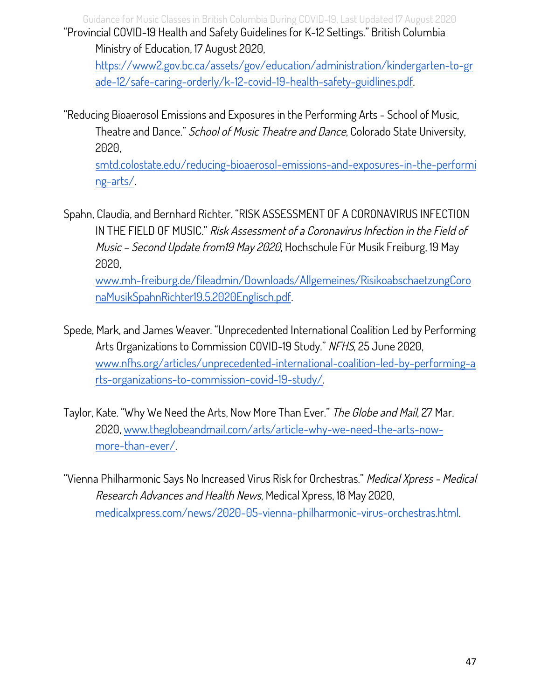Guidance for Music Classes in British Columbia During COVID-19, Last Updated 17 August 2020 "Provincial COVID-19 Health and Safety Guidelines for K-12 Settings." British Columbia Ministry of Education, 17 August 2020,

[https://www2.gov.bc.ca/assets/gov/education/administration/kindergarten-to-gr](https://www2.gov.bc.ca/assets/gov/education/administration/kindergarten-to-grade-12/safe-caring-orderly/k-12-covid-19-health-safety-guidlines.pdf) [ade-12/safe-caring-orderly/k-12-covid-19-health-safety-guidlines.pdf](https://www2.gov.bc.ca/assets/gov/education/administration/kindergarten-to-grade-12/safe-caring-orderly/k-12-covid-19-health-safety-guidlines.pdf).

"Reducing Bioaerosol Emissions and Exposures in the Performing Arts - School of Music, Theatre and Dance." School of Music Theatre and Dance, Colorado State University, 2020,

[smtd.colostate.edu/reducing-bioaerosol-emissions-and-exposures-in-the-performi](https://smtd.colostate.edu/reducing-bioaerosol-emissions-and-exposures-in-the-performing-arts/) [ng-arts/](https://smtd.colostate.edu/reducing-bioaerosol-emissions-and-exposures-in-the-performing-arts/).

Spahn, Claudia, and Bernhard Richter. "RISK ASSESSMENT OF A CORONAVIRUS INFECTION IN THE FIELD OF MUSIC." Risk Assessment of <sup>a</sup> Coronavirus Infection in the Field of Music – Second Update from19 May 2020, Hochschule Für Musik Freiburg, 19 May 2020,

[www.mh-freiburg.de/fileadmin/Downloads/Allgemeines/RisikoabschaetzungCoro](http://www.mh-freiburg.de/fileadmin/Downloads/Allgemeines/RisikoabschaetzungCoronaMusikSpahnRichter19.5.2020Englisch.pdf) [naMusikSpahnRichter19.5.2020Englisch.pdf](http://www.mh-freiburg.de/fileadmin/Downloads/Allgemeines/RisikoabschaetzungCoronaMusikSpahnRichter19.5.2020Englisch.pdf).

- Spede, Mark, and James Weaver. "Unprecedented International Coalition Led by Performing Arts Organizations to Commission COVID-19 Study." NFHS, 25 June 2020, [www.nfhs.org/articles/unprecedented-international-coalition-led-by-performing-a](http://www.nfhs.org/articles/unprecedented-international-coalition-led-by-performing-arts-organizations-to-commission-covid-19-study/) [rts-organizations-to-commission-covid-19-study/](http://www.nfhs.org/articles/unprecedented-international-coalition-led-by-performing-arts-organizations-to-commission-covid-19-study/).
- Taylor, Kate. "Why We Need the Arts, Now More Than Ever." The Globe and Mail, 27 Mar. 2020, [www.theglobeandmail.com/arts/article-why-we-need-the-arts-now](http://www.theglobeandmail.com/arts/article-why-we-need-the-arts-now-)[more-than-ever/.](http://www.theglobeandmail.com/arts/article-why-we-need-the-arts-now-)

"Vienna Philharmonic Says No Increased Virus Risk for Orchestras." Medical Xpress - Medical Research Advances and Health News, Medical Xpress, 18 May 2020, [medicalxpress.com/news/2020-05-vienna-philharmonic-virus-orchestras.html.](https://medicalxpress.com/news/2020-05-vienna-philharmonic-virus-orchestras.html)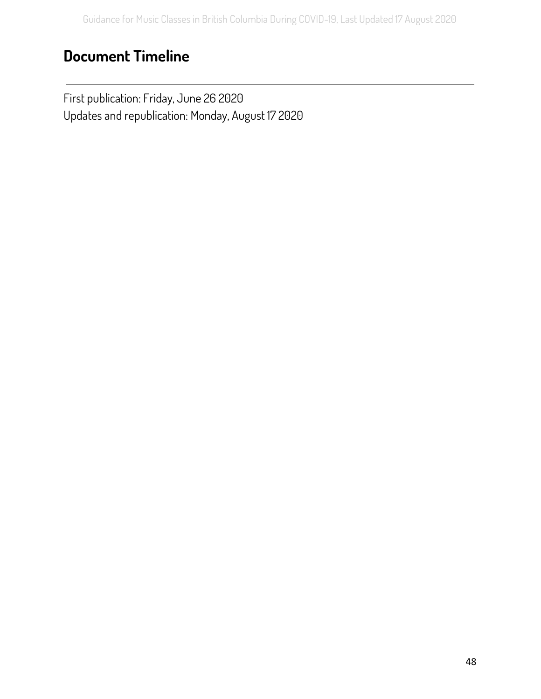## <span id="page-48-0"></span>**Document Timeline**

First publication: Friday, June 26 2020 Updates and republication: Monday, August 17 2020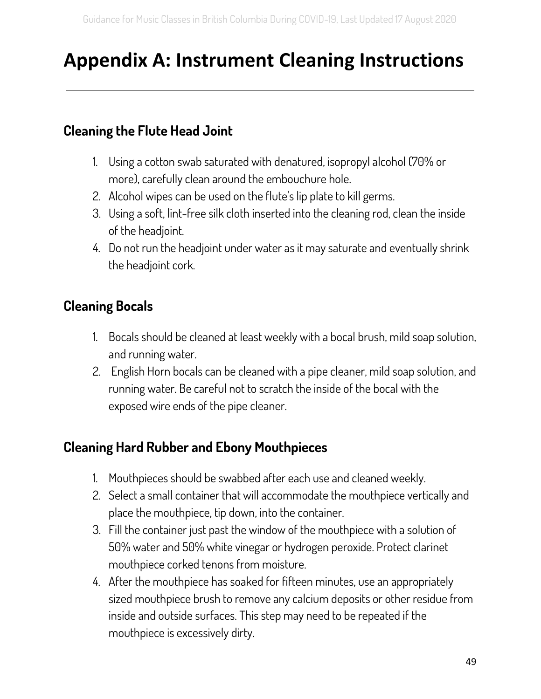# <span id="page-49-0"></span>**Appendix A: Instrument Cleaning Instructions**

## <span id="page-49-1"></span>**Cleaning the Flute Head Joint**

- 1. Using a cotton swab saturated with denatured, isopropyl alcohol (70% or more), carefully clean around the embouchure hole.
- 2. Alcohol wipes can be used on the flute's lip plate to kill germs.
- 3. Using a soft, lint-free silk cloth inserted into the cleaning rod, clean the inside of the headjoint.
- 4. Do not run the headjoint under water as it may saturate and eventually shrink the headjoint cork.

## <span id="page-49-2"></span>**Cleaning Bocals**

- 1. Bocals should be cleaned at least weekly with a bocal brush, mild soap solution, and running water.
- 2. English Horn bocals can be cleaned with a pipe cleaner, mild soap solution, and running water. Be careful not to scratch the inside of the bocal with the exposed wire ends of the pipe cleaner.

## <span id="page-49-3"></span>**Cleaning Hard Rubber and Ebony Mouthpieces**

- 1. Mouthpieces should be swabbed after each use and cleaned weekly.
- 2. Select a small container that will accommodate the mouthpiece vertically and place the mouthpiece, tip down, into the container.
- 3. Fill the container just past the window of the mouthpiece with a solution of 50% water and 50% white vinegar or hydrogen peroxide. Protect clarinet mouthpiece corked tenons from moisture.
- 4. After the mouthpiece has soaked for fifteen minutes, use an appropriately sized mouthpiece brush to remove any calcium deposits or other residue from inside and outside surfaces. This step may need to be repeated if the mouthpiece is excessively dirty.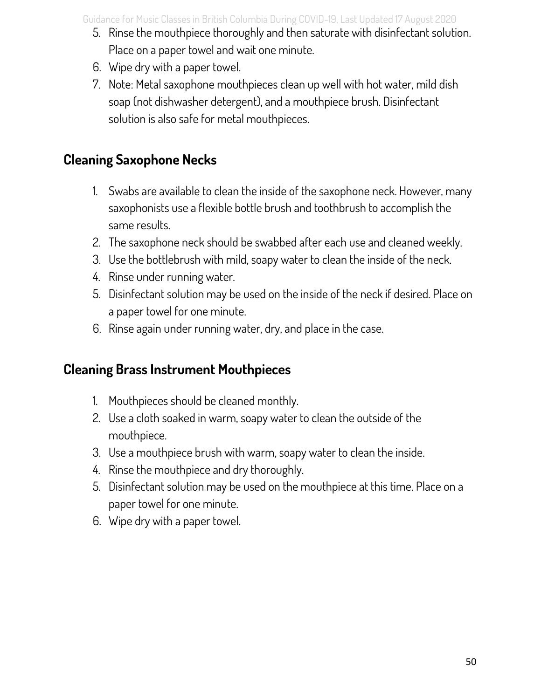Guidance for Music Classes in British Columbia During COVID-19, Last Updated 17 August 2020

- 5. Rinse the mouthpiece thoroughly and then saturate with disinfectant solution. Place on a paper towel and wait one minute.
- 6. Wipe dry with a paper towel.
- 7. Note: Metal saxophone mouthpieces clean up well with hot water, mild dish soap (not dishwasher detergent), and a mouthpiece brush. Disinfectant solution is also safe for metal mouthpieces.

## <span id="page-50-0"></span>**Cleaning Saxophone Necks**

- 1. Swabs are available to clean the inside of the saxophone neck. However, many saxophonists use a flexible bottle brush and toothbrush to accomplish the same results.
- 2. The saxophone neck should be swabbed after each use and cleaned weekly.
- 3. Use the bottlebrush with mild, soapy water to clean the inside of the neck.
- 4. Rinse under running water.
- 5. Disinfectant solution may be used on the inside of the neck if desired. Place on a paper towel for one minute.
- 6. Rinse again under running water, dry, and place in the case.

## <span id="page-50-1"></span>**Cleaning Brass Instrument Mouthpieces**

- 1. Mouthpieces should be cleaned monthly.
- 2. Use a cloth soaked in warm, soapy water to clean the outside of the mouthpiece.
- 3. Use a mouthpiece brush with warm, soapy water to clean the inside.
- 4. Rinse the mouthpiece and dry thoroughly.
- 5. Disinfectant solution may be used on the mouthpiece at this time. Place on a paper towel for one minute.
- 6. Wipe dry with a paper towel.